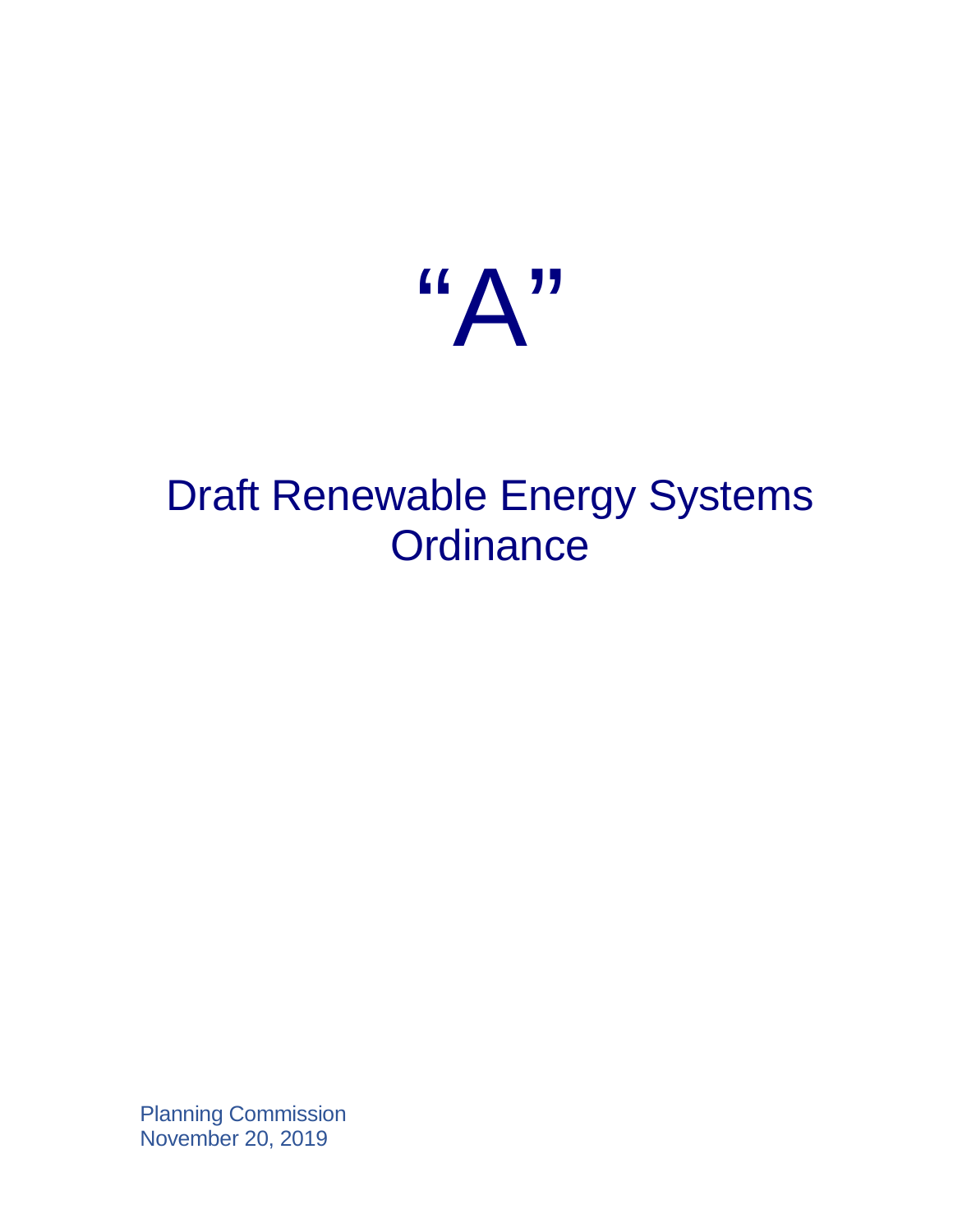

# Draft Renewable Energy Systems **Ordinance**

Planning Commission November 20, 2019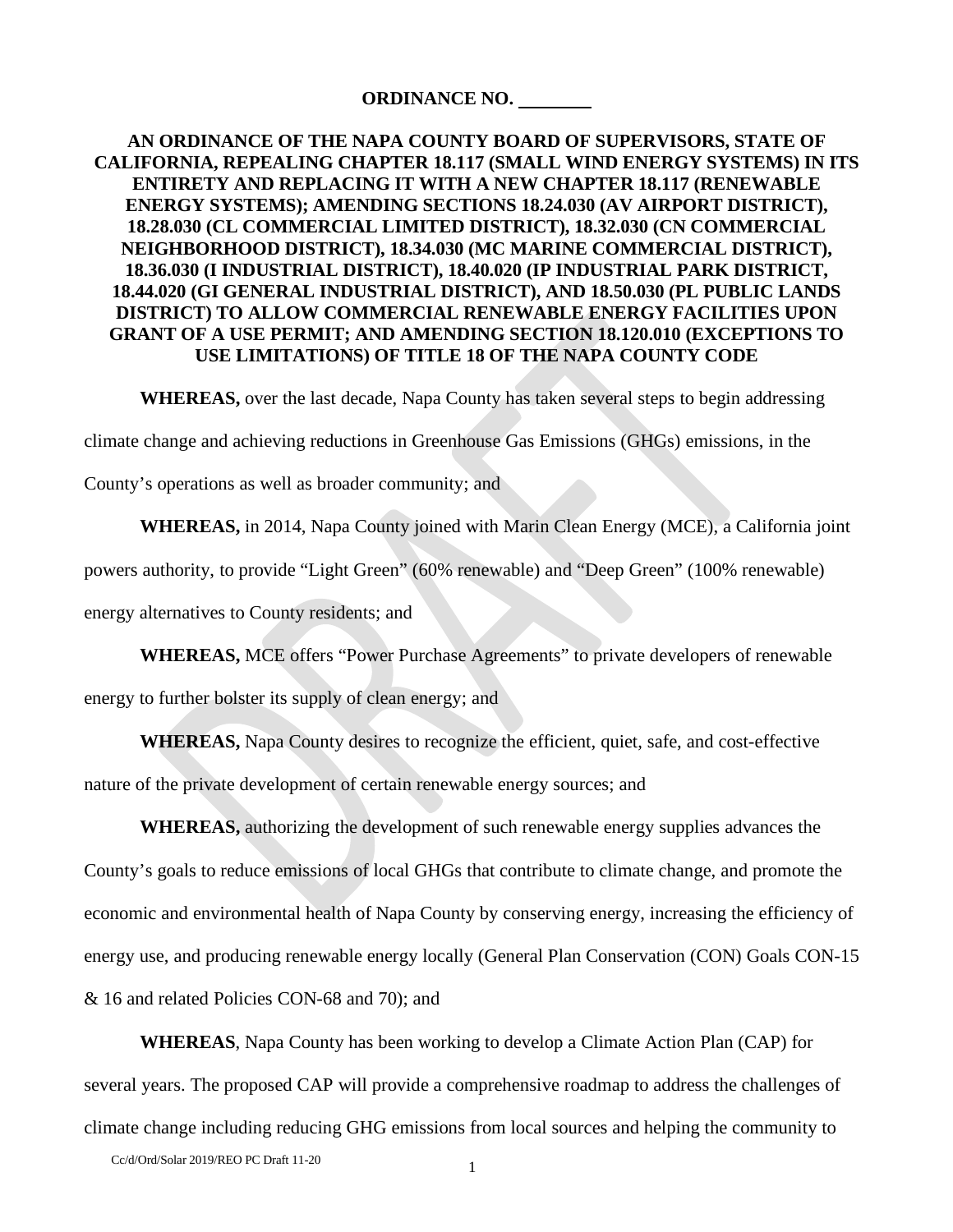### **ORDINANCE NO.**

## **AN ORDINANCE OF THE NAPA COUNTY BOARD OF SUPERVISORS, STATE OF CALIFORNIA, REPEALING CHAPTER 18.117 (SMALL WIND ENERGY SYSTEMS) IN ITS ENTIRETY AND REPLACING IT WITH A NEW CHAPTER 18.117 (RENEWABLE ENERGY SYSTEMS); AMENDING SECTIONS 18.24.030 (AV AIRPORT DISTRICT), 18.28.030 (CL COMMERCIAL LIMITED DISTRICT), 18.32.030 (CN COMMERCIAL NEIGHBORHOOD DISTRICT), 18.34.030 (MC MARINE COMMERCIAL DISTRICT), 18.36.030 (I INDUSTRIAL DISTRICT), 18.40.020 (IP INDUSTRIAL PARK DISTRICT, 18.44.020 (GI GENERAL INDUSTRIAL DISTRICT), AND 18.50.030 (PL PUBLIC LANDS DISTRICT) TO ALLOW COMMERCIAL RENEWABLE ENERGY FACILITIES UPON GRANT OF A USE PERMIT; AND AMENDING SECTION 18.120.010 (EXCEPTIONS TO USE LIMITATIONS) OF TITLE 18 OF THE NAPA COUNTY CODE**

**WHEREAS,** over the last decade, Napa County has taken several steps to begin addressing

climate change and achieving reductions in Greenhouse Gas Emissions (GHGs) emissions, in the

County's operations as well as broader community; and

**WHEREAS,** in 2014, Napa County joined with Marin Clean Energy (MCE), a California joint

powers authority, to provide "Light Green" (60% renewable) and "Deep Green" (100% renewable)

energy alternatives to County residents; and

**WHEREAS,** MCE offers "Power Purchase Agreements" to private developers of renewable

energy to further bolster its supply of clean energy; and

**WHEREAS,** Napa County desires to recognize the efficient, quiet, safe, and cost-effective

nature of the private development of certain renewable energy sources; and

**WHEREAS,** authorizing the development of such renewable energy supplies advances the County's goals to reduce emissions of local GHGs that contribute to climate change, and promote the economic and environmental health of Napa County by conserving energy, increasing the efficiency of energy use, and producing renewable energy locally (General Plan Conservation (CON) Goals CON-15 & 16 and related Policies CON-68 and 70); and

**WHEREAS**, Napa County has been working to develop a Climate Action Plan (CAP) for several years. The proposed CAP will provide a comprehensive roadmap to address the challenges of climate change including reducing GHG emissions from local sources and helping the community to

Cc/d/Ord/Solar 2019/REO PC Draft 11-20 1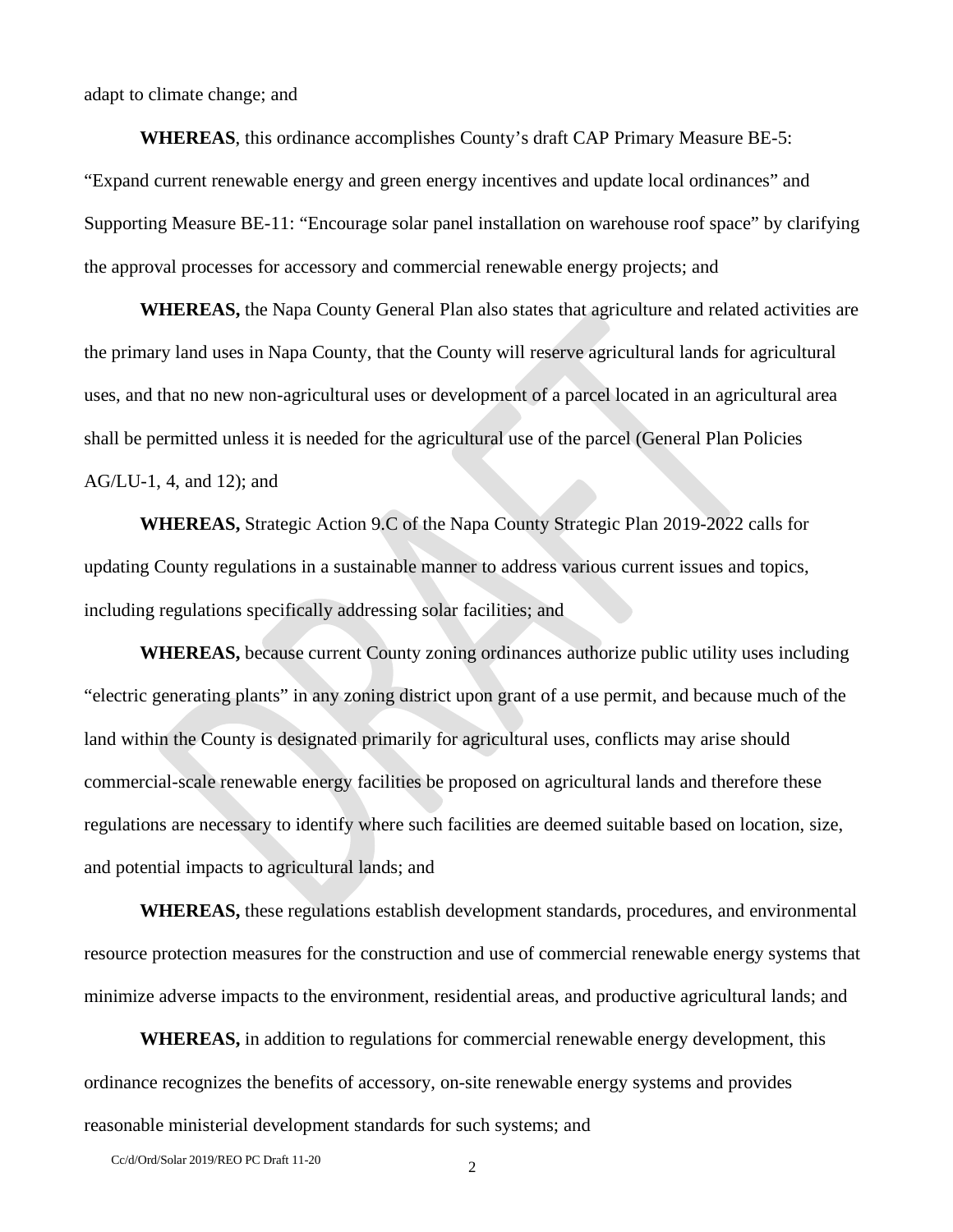adapt to climate change; and

**WHEREAS**, this ordinance accomplishes County's draft CAP Primary Measure BE-5: "Expand current renewable energy and green energy incentives and update local ordinances" and Supporting Measure BE-11: "Encourage solar panel installation on warehouse roof space" by clarifying the approval processes for accessory and commercial renewable energy projects; and

**WHEREAS,** the Napa County General Plan also states that agriculture and related activities are the primary land uses in Napa County, that the County will reserve agricultural lands for agricultural uses, and that no new non-agricultural uses or development of a parcel located in an agricultural area shall be permitted unless it is needed for the agricultural use of the parcel (General Plan Policies AG/LU-1, 4, and 12); and

**WHEREAS,** Strategic Action 9.C of the Napa County Strategic Plan 2019-2022 calls for updating County regulations in a sustainable manner to address various current issues and topics, including regulations specifically addressing solar facilities; and

**WHEREAS,** because current County zoning ordinances authorize public utility uses including "electric generating plants" in any zoning district upon grant of a use permit, and because much of the land within the County is designated primarily for agricultural uses, conflicts may arise should commercial-scale renewable energy facilities be proposed on agricultural lands and therefore these regulations are necessary to identify where such facilities are deemed suitable based on location, size, and potential impacts to agricultural lands; and

**WHEREAS,** these regulations establish development standards, procedures, and environmental resource protection measures for the construction and use of commercial renewable energy systems that minimize adverse impacts to the environment, residential areas, and productive agricultural lands; and

**WHEREAS,** in addition to regulations for commercial renewable energy development, this ordinance recognizes the benefits of accessory, on-site renewable energy systems and provides reasonable ministerial development standards for such systems; and

Cc/d/Ord/Solar 2019/REO PC Draft 11-20 2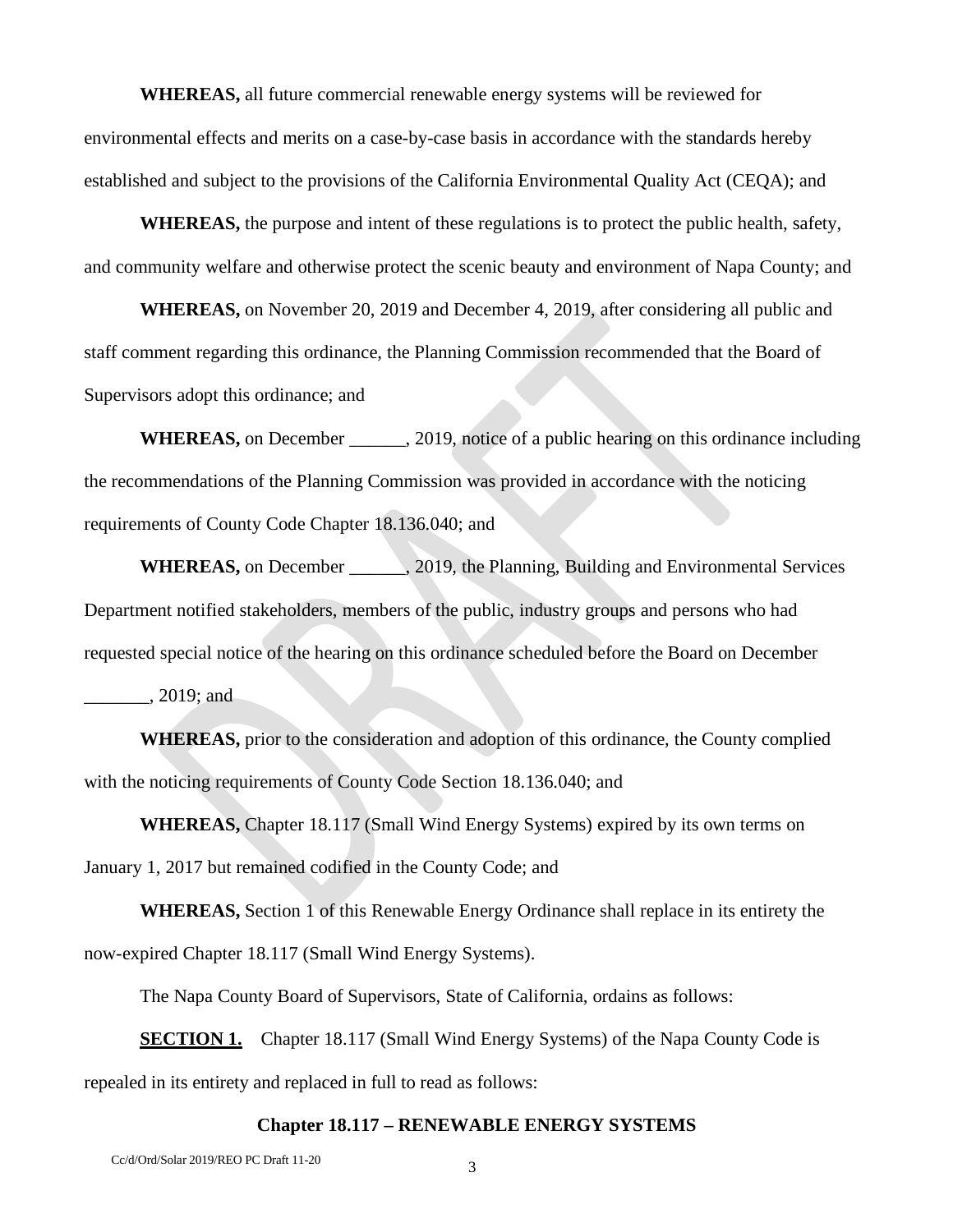**WHEREAS,** all future commercial renewable energy systems will be reviewed for environmental effects and merits on a case-by-case basis in accordance with the standards hereby established and subject to the provisions of the California Environmental Quality Act (CEQA); and

**WHEREAS,** the purpose and intent of these regulations is to protect the public health, safety, and community welfare and otherwise protect the scenic beauty and environment of Napa County; and

**WHEREAS,** on November 20, 2019 and December 4, 2019, after considering all public and staff comment regarding this ordinance, the Planning Commission recommended that the Board of Supervisors adopt this ordinance; and

WHEREAS, on December . 2019, notice of a public hearing on this ordinance including the recommendations of the Planning Commission was provided in accordance with the noticing requirements of County Code Chapter 18.136.040; and

WHEREAS, on December \_\_\_\_\_\_, 2019, the Planning, Building and Environmental Services Department notified stakeholders, members of the public, industry groups and persons who had requested special notice of the hearing on this ordinance scheduled before the Board on December \_\_\_\_\_\_\_, 2019; and

**WHEREAS,** prior to the consideration and adoption of this ordinance, the County complied with the noticing requirements of County Code Section 18.136.040; and

**WHEREAS,** Chapter 18.117 (Small Wind Energy Systems) expired by its own terms on January 1, 2017 but remained codified in the County Code; and

**WHEREAS,** Section 1 of this Renewable Energy Ordinance shall replace in its entirety the now-expired Chapter 18.117 (Small Wind Energy Systems).

The Napa County Board of Supervisors, State of California, ordains as follows:

**SECTION 1.** Chapter 18.117 (Small Wind Energy Systems) of the Napa County Code is repealed in its entirety and replaced in full to read as follows:

#### **Chapter 18.117 – RENEWABLE ENERGY SYSTEMS**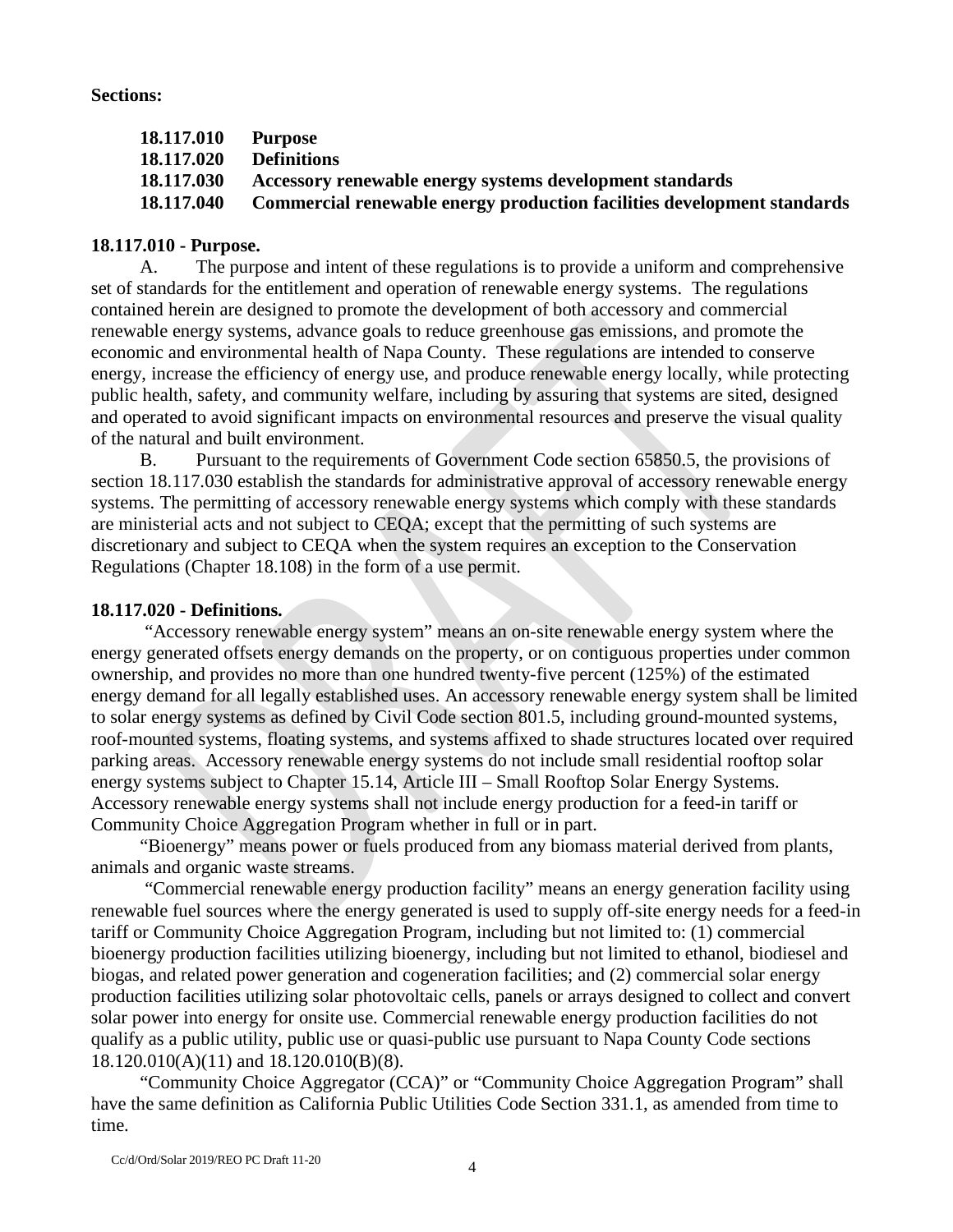#### **Sections:**

| 18.117.010 | Purpose                                                                 |
|------------|-------------------------------------------------------------------------|
| 18.117.020 | <b>Definitions</b>                                                      |
| 18.117.030 | Accessory renewable energy systems development standards                |
| 18.117.040 | Commercial renewable energy production facilities development standards |

## **18.117.010 - Purpose.**

A. The purpose and intent of these regulations is to provide a uniform and comprehensive set of standards for the entitlement and operation of renewable energy systems. The regulations contained herein are designed to promote the development of both accessory and commercial renewable energy systems, advance goals to reduce greenhouse gas emissions, and promote the economic and environmental health of Napa County. These regulations are intended to conserve energy, increase the efficiency of energy use, and produce renewable energy locally, while protecting public health, safety, and community welfare, including by assuring that systems are sited, designed and operated to avoid significant impacts on environmental resources and preserve the visual quality of the natural and built environment.

B. Pursuant to the requirements of Government Code section 65850.5, the provisions of section 18.117.030 establish the standards for administrative approval of accessory renewable energy systems. The permitting of accessory renewable energy systems which comply with these standards are ministerial acts and not subject to CEQA; except that the permitting of such systems are discretionary and subject to CEQA when the system requires an exception to the Conservation Regulations (Chapter 18.108) in the form of a use permit.

## **18.117.020 - Definitions.**

"Accessory renewable energy system" means an on-site renewable energy system where the energy generated offsets energy demands on the property, or on contiguous properties under common ownership, and provides no more than one hundred twenty-five percent (125%) of the estimated energy demand for all legally established uses. An accessory renewable energy system shall be limited to solar energy systems as defined by Civil Code section 801.5, including ground-mounted systems, roof-mounted systems, floating systems, and systems affixed to shade structures located over required parking areas. Accessory renewable energy systems do not include small residential rooftop solar energy systems subject to Chapter 15.14, Article III – Small Rooftop Solar Energy Systems. Accessory renewable energy systems shall not include energy production for a feed-in tariff or Community Choice Aggregation Program whether in full or in part.

"Bioenergy" means power or fuels produced from any biomass material derived from plants, animals and organic waste streams.

"Commercial renewable energy production facility" means an energy generation facility using renewable fuel sources where the energy generated is used to supply off-site energy needs for a feed-in tariff or Community Choice Aggregation Program, including but not limited to: (1) commercial bioenergy production facilities utilizing bioenergy, including but not limited to ethanol, biodiesel and biogas, and related power generation and cogeneration facilities; and (2) commercial solar energy production facilities utilizing solar photovoltaic cells, panels or arrays designed to collect and convert solar power into energy for onsite use. Commercial renewable energy production facilities do not qualify as a public utility, public use or quasi-public use pursuant to Napa County Code sections 18.120.010(A)(11) and 18.120.010(B)(8).

"Community Choice Aggregator (CCA)" or "Community Choice Aggregation Program" shall have the same definition as California Public Utilities Code Section 331.1, as amended from time to time.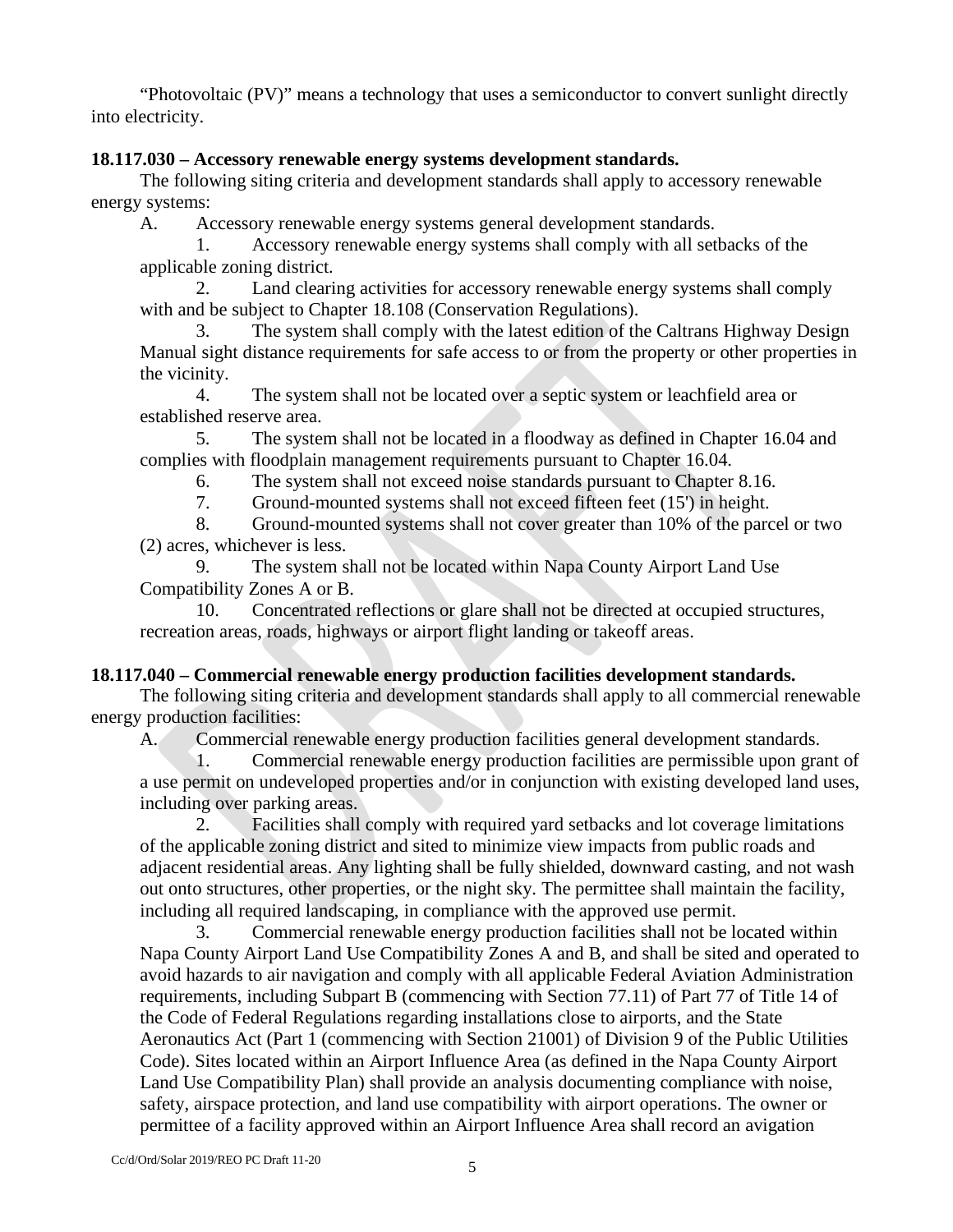"Photovoltaic (PV)" means a technology that uses a semiconductor to convert sunlight directly into electricity.

## **18.117.030 – Accessory renewable energy systems development standards.**

The following siting criteria and development standards shall apply to accessory renewable energy systems:

A. Accessory renewable energy systems general development standards.

1. Accessory renewable energy systems shall comply with all setbacks of the applicable zoning district.

2. Land clearing activities for accessory renewable energy systems shall comply with and be subject to Chapter 18.108 (Conservation Regulations).

3. The system shall comply with the latest edition of the Caltrans Highway Design Manual sight distance requirements for safe access to or from the property or other properties in the vicinity.

4. The system shall not be located over a septic system or leachfield area or established reserve area.

5. The system shall not be located in a floodway as defined in Chapter 16.04 and complies with floodplain management requirements pursuant to Chapter 16.04.

6. The system shall not exceed noise standards pursuant to Chapter 8.16.

7. Ground-mounted systems shall not exceed fifteen feet (15') in height.

8. Ground-mounted systems shall not cover greater than 10% of the parcel or two (2) acres, whichever is less.

9. The system shall not be located within Napa County Airport Land Use Compatibility Zones A or B.

10. Concentrated reflections or glare shall not be directed at occupied structures, recreation areas, roads, highways or airport flight landing or takeoff areas.

# **18.117.040 – Commercial renewable energy production facilities development standards.**

The following siting criteria and development standards shall apply to all commercial renewable energy production facilities:

A. Commercial renewable energy production facilities general development standards.

1. Commercial renewable energy production facilities are permissible upon grant of a use permit on undeveloped properties and/or in conjunction with existing developed land uses, including over parking areas.

2. Facilities shall comply with required yard setbacks and lot coverage limitations of the applicable zoning district and sited to minimize view impacts from public roads and adjacent residential areas. Any lighting shall be fully shielded, downward casting, and not wash out onto structures, other properties, or the night sky. The permittee shall maintain the facility, including all required landscaping, in compliance with the approved use permit.

3. Commercial renewable energy production facilities shall not be located within Napa County Airport Land Use Compatibility Zones A and B, and shall be sited and operated to avoid hazards to air navigation and comply with all applicable Federal Aviation Administration requirements, including Subpart B (commencing with Section 77.11) of Part 77 of Title 14 of the Code of Federal Regulations regarding installations close to airports, and the State Aeronautics Act (Part 1 (commencing with Section 21001) of Division 9 of the Public Utilities Code). Sites located within an Airport Influence Area (as defined in the Napa County Airport Land Use Compatibility Plan) shall provide an analysis documenting compliance with noise, safety, airspace protection, and land use compatibility with airport operations. The owner or permittee of a facility approved within an Airport Influence Area shall record an avigation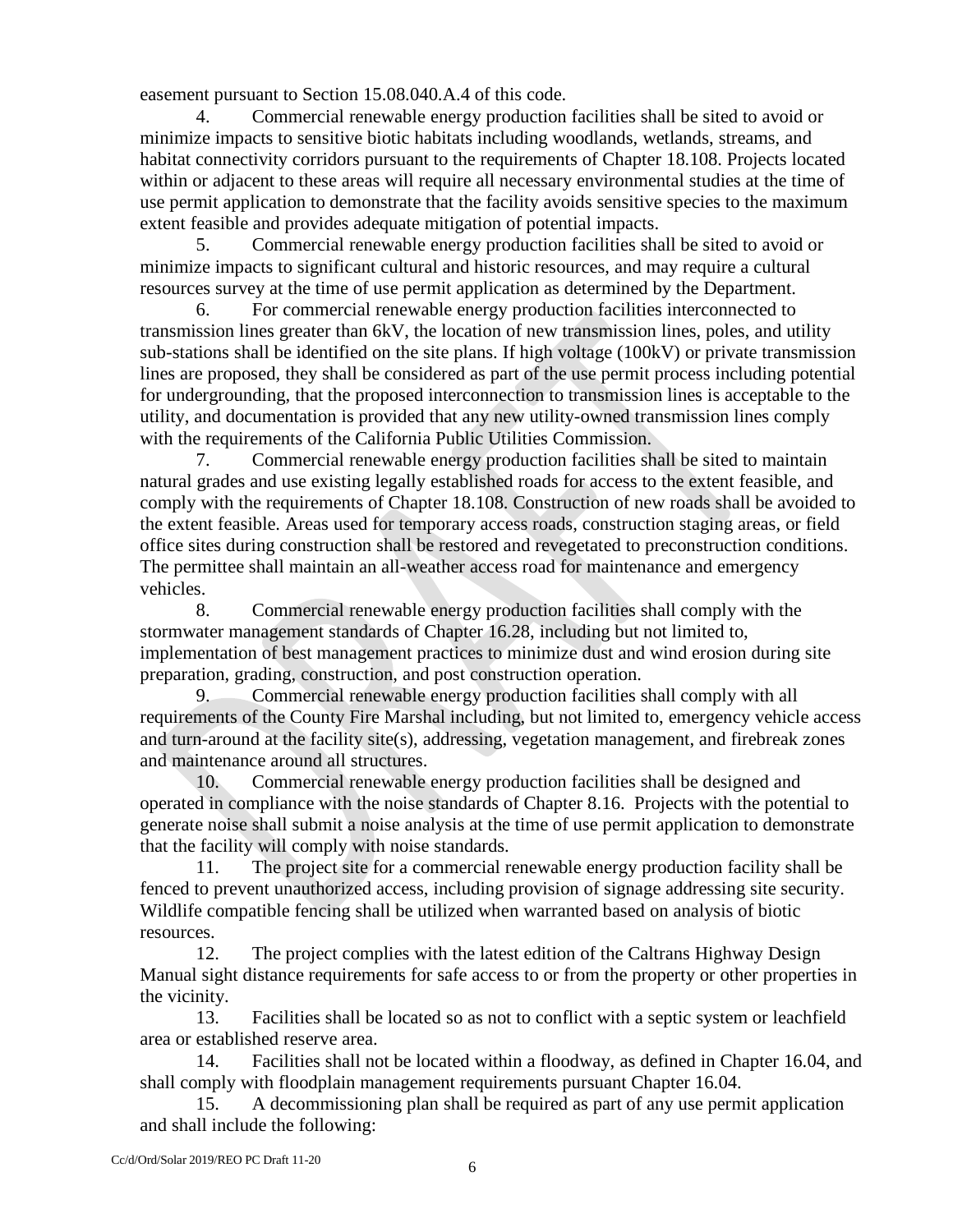easement pursuant to Section 15.08.040.A.4 of this code.

4. Commercial renewable energy production facilities shall be sited to avoid or minimize impacts to sensitive biotic habitats including woodlands, wetlands, streams, and habitat connectivity corridors pursuant to the requirements of Chapter 18.108. Projects located within or adjacent to these areas will require all necessary environmental studies at the time of use permit application to demonstrate that the facility avoids sensitive species to the maximum extent feasible and provides adequate mitigation of potential impacts.

5. Commercial renewable energy production facilities shall be sited to avoid or minimize impacts to significant cultural and historic resources, and may require a cultural resources survey at the time of use permit application as determined by the Department.

6. For commercial renewable energy production facilities interconnected to transmission lines greater than 6kV, the location of new transmission lines, poles, and utility sub-stations shall be identified on the site plans. If high voltage (100kV) or private transmission lines are proposed, they shall be considered as part of the use permit process including potential for undergrounding, that the proposed interconnection to transmission lines is acceptable to the utility, and documentation is provided that any new utility-owned transmission lines comply with the requirements of the California Public Utilities Commission.

7. Commercial renewable energy production facilities shall be sited to maintain natural grades and use existing legally established roads for access to the extent feasible, and comply with the requirements of Chapter 18.108. Construction of new roads shall be avoided to the extent feasible. Areas used for temporary access roads, construction staging areas, or field office sites during construction shall be restored and revegetated to preconstruction conditions. The permittee shall maintain an all-weather access road for maintenance and emergency vehicles.

8. Commercial renewable energy production facilities shall comply with the stormwater management standards of Chapter 16.28, including but not limited to, implementation of best management practices to minimize dust and wind erosion during site preparation, grading, construction, and post construction operation.

9. Commercial renewable energy production facilities shall comply with all requirements of the County Fire Marshal including, but not limited to, emergency vehicle access and turn-around at the facility site(s), addressing, vegetation management, and firebreak zones and maintenance around all structures.

10. Commercial renewable energy production facilities shall be designed and operated in compliance with the noise standards of Chapter 8.16. Projects with the potential to generate noise shall submit a noise analysis at the time of use permit application to demonstrate that the facility will comply with noise standards.

11. The project site for a commercial renewable energy production facility shall be fenced to prevent unauthorized access, including provision of signage addressing site security. Wildlife compatible fencing shall be utilized when warranted based on analysis of biotic resources.

12. The project complies with the latest edition of the Caltrans Highway Design Manual sight distance requirements for safe access to or from the property or other properties in the vicinity.

13. Facilities shall be located so as not to conflict with a septic system or leachfield area or established reserve area.

14. Facilities shall not be located within a floodway, as defined in Chapter 16.04, and shall comply with floodplain management requirements pursuant Chapter 16.04.

15. A decommissioning plan shall be required as part of any use permit application and shall include the following: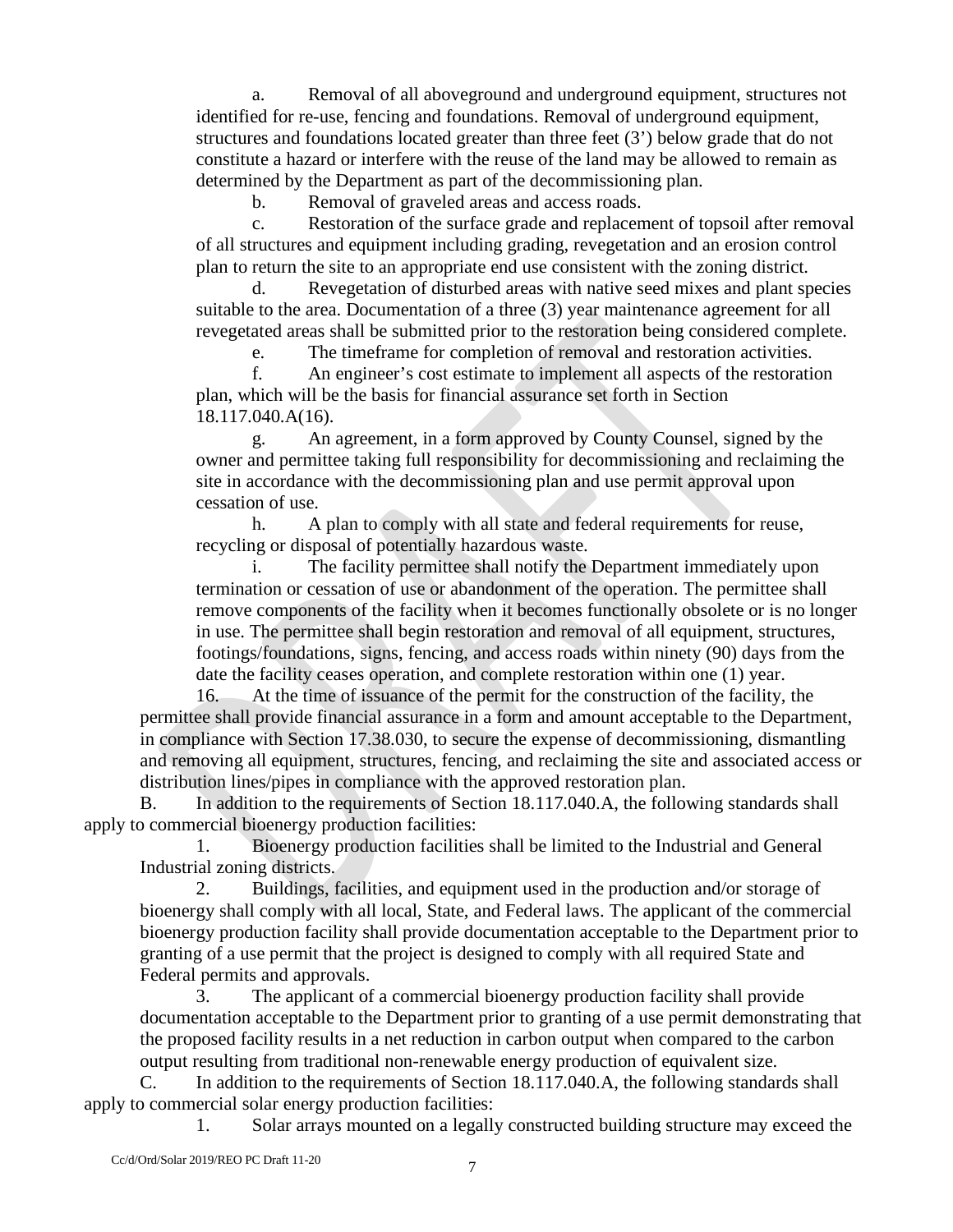a. Removal of all aboveground and underground equipment, structures not identified for re-use, fencing and foundations. Removal of underground equipment, structures and foundations located greater than three feet (3') below grade that do not constitute a hazard or interfere with the reuse of the land may be allowed to remain as determined by the Department as part of the decommissioning plan.

b. Removal of graveled areas and access roads.

c. Restoration of the surface grade and replacement of topsoil after removal of all structures and equipment including grading, revegetation and an erosion control plan to return the site to an appropriate end use consistent with the zoning district.

Revegetation of disturbed areas with native seed mixes and plant species suitable to the area. Documentation of a three (3) year maintenance agreement for all revegetated areas shall be submitted prior to the restoration being considered complete.

e. The timeframe for completion of removal and restoration activities. f. An engineer's cost estimate to implement all aspects of the restoration plan, which will be the basis for financial assurance set forth in Section

18.117.040.A(16).

g. An agreement, in a form approved by County Counsel, signed by the owner and permittee taking full responsibility for decommissioning and reclaiming the site in accordance with the decommissioning plan and use permit approval upon cessation of use.

h. A plan to comply with all state and federal requirements for reuse, recycling or disposal of potentially hazardous waste.

The facility permittee shall notify the Department immediately upon termination or cessation of use or abandonment of the operation. The permittee shall remove components of the facility when it becomes functionally obsolete or is no longer in use. The permittee shall begin restoration and removal of all equipment, structures, footings/foundations, signs, fencing, and access roads within ninety (90) days from the date the facility ceases operation, and complete restoration within one (1) year.

16. At the time of issuance of the permit for the construction of the facility, the permittee shall provide financial assurance in a form and amount acceptable to the Department, in compliance with Section 17.38.030, to secure the expense of decommissioning, dismantling and removing all equipment, structures, fencing, and reclaiming the site and associated access or distribution lines/pipes in compliance with the approved restoration plan.

B. In addition to the requirements of Section 18.117.040.A, the following standards shall apply to commercial bioenergy production facilities:

1. Bioenergy production facilities shall be limited to the Industrial and General Industrial zoning districts.

2. Buildings, facilities, and equipment used in the production and/or storage of bioenergy shall comply with all local, State, and Federal laws. The applicant of the commercial bioenergy production facility shall provide documentation acceptable to the Department prior to granting of a use permit that the project is designed to comply with all required State and Federal permits and approvals.

3. The applicant of a commercial bioenergy production facility shall provide documentation acceptable to the Department prior to granting of a use permit demonstrating that the proposed facility results in a net reduction in carbon output when compared to the carbon output resulting from traditional non-renewable energy production of equivalent size.

C. In addition to the requirements of Section 18.117.040.A, the following standards shall apply to commercial solar energy production facilities:

1. Solar arrays mounted on a legally constructed building structure may exceed the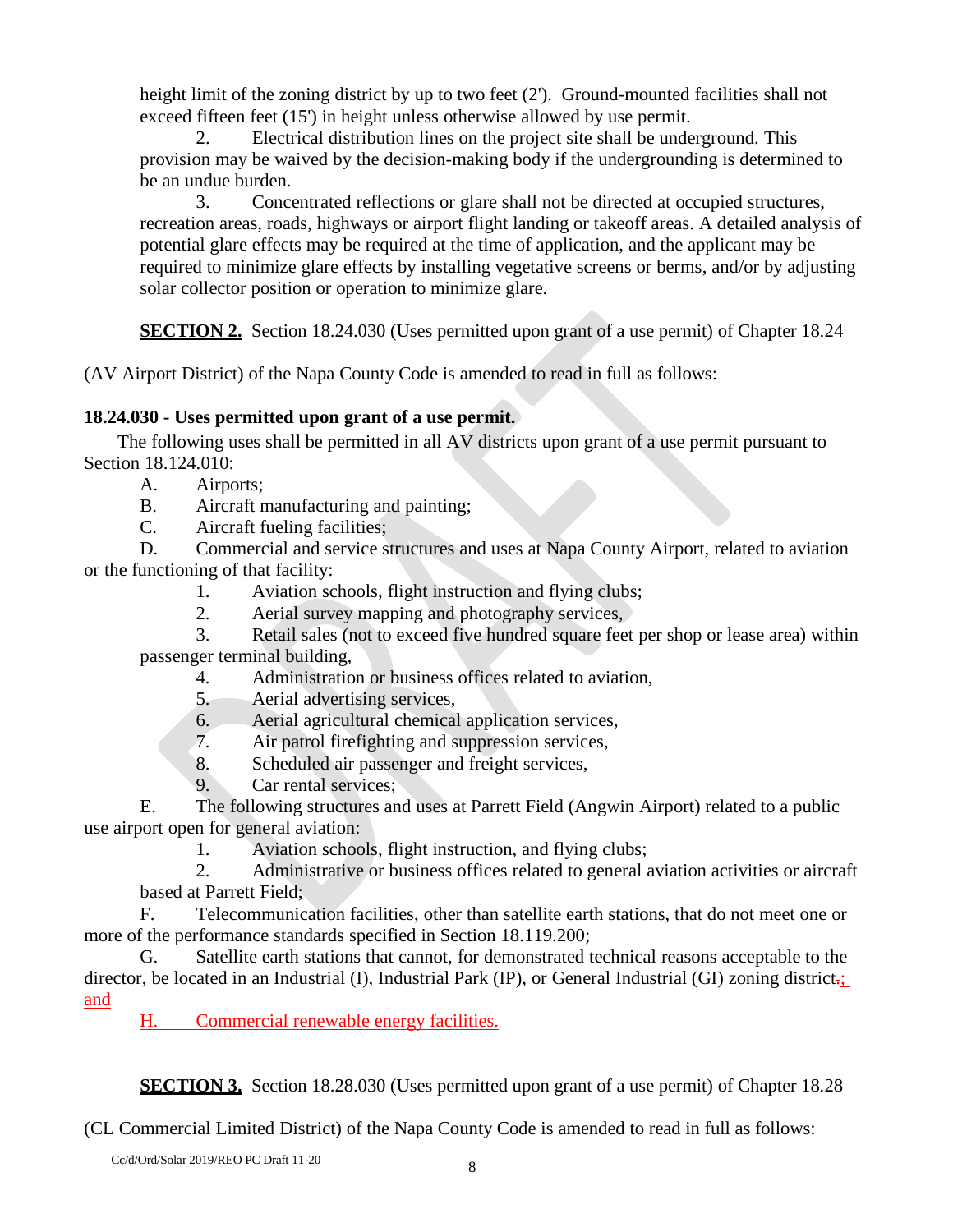height limit of the zoning district by up to two feet (2'). Ground-mounted facilities shall not exceed fifteen feet (15') in height unless otherwise allowed by use permit.

2. Electrical distribution lines on the project site shall be underground. This provision may be waived by the decision-making body if the undergrounding is determined to be an undue burden.

3. Concentrated reflections or glare shall not be directed at occupied structures, recreation areas, roads, highways or airport flight landing or takeoff areas. A detailed analysis of potential glare effects may be required at the time of application, and the applicant may be required to minimize glare effects by installing vegetative screens or berms, and/or by adjusting solar collector position or operation to minimize glare.

**SECTION 2.** Section 18.24.030 (Uses permitted upon grant of a use permit) of Chapter 18.24

(AV Airport District) of the Napa County Code is amended to read in full as follows:

# **18.24.030 - Uses permitted upon grant of a use permit.**

The following uses shall be permitted in all AV districts upon grant of a use permit pursuant to Section 18.124.010:

- A. Airports;
- B. Aircraft manufacturing and painting;
- C. Aircraft fueling facilities;

D. Commercial and service structures and uses at Napa County Airport, related to aviation or the functioning of that facility:

- 1. Aviation schools, flight instruction and flying clubs;
- 2. Aerial survey mapping and photography services,

3. Retail sales (not to exceed five hundred square feet per shop or lease area) within passenger terminal building,

- 4. Administration or business offices related to aviation,
- 5. Aerial advertising services,
- 6. Aerial agricultural chemical application services,
- 7. Air patrol firefighting and suppression services,
- 8. Scheduled air passenger and freight services,
- 9. Car rental services;

E. The following structures and uses at Parrett Field (Angwin Airport) related to a public use airport open for general aviation:

1. Aviation schools, flight instruction, and flying clubs;

2. Administrative or business offices related to general aviation activities or aircraft based at Parrett Field;

F. Telecommunication facilities, other than satellite earth stations, that do not meet one or more of the performance standards specified in Section 18.119.200;

G. Satellite earth stations that cannot, for demonstrated technical reasons acceptable to the director, be located in an Industrial (I), Industrial Park (IP), or General Industrial (GI) zoning district-; and

H. Commercial renewable energy facilities.

**SECTION 3.** Section 18.28.030 (Uses permitted upon grant of a use permit) of Chapter 18.28

(CL Commercial Limited District) of the Napa County Code is amended to read in full as follows: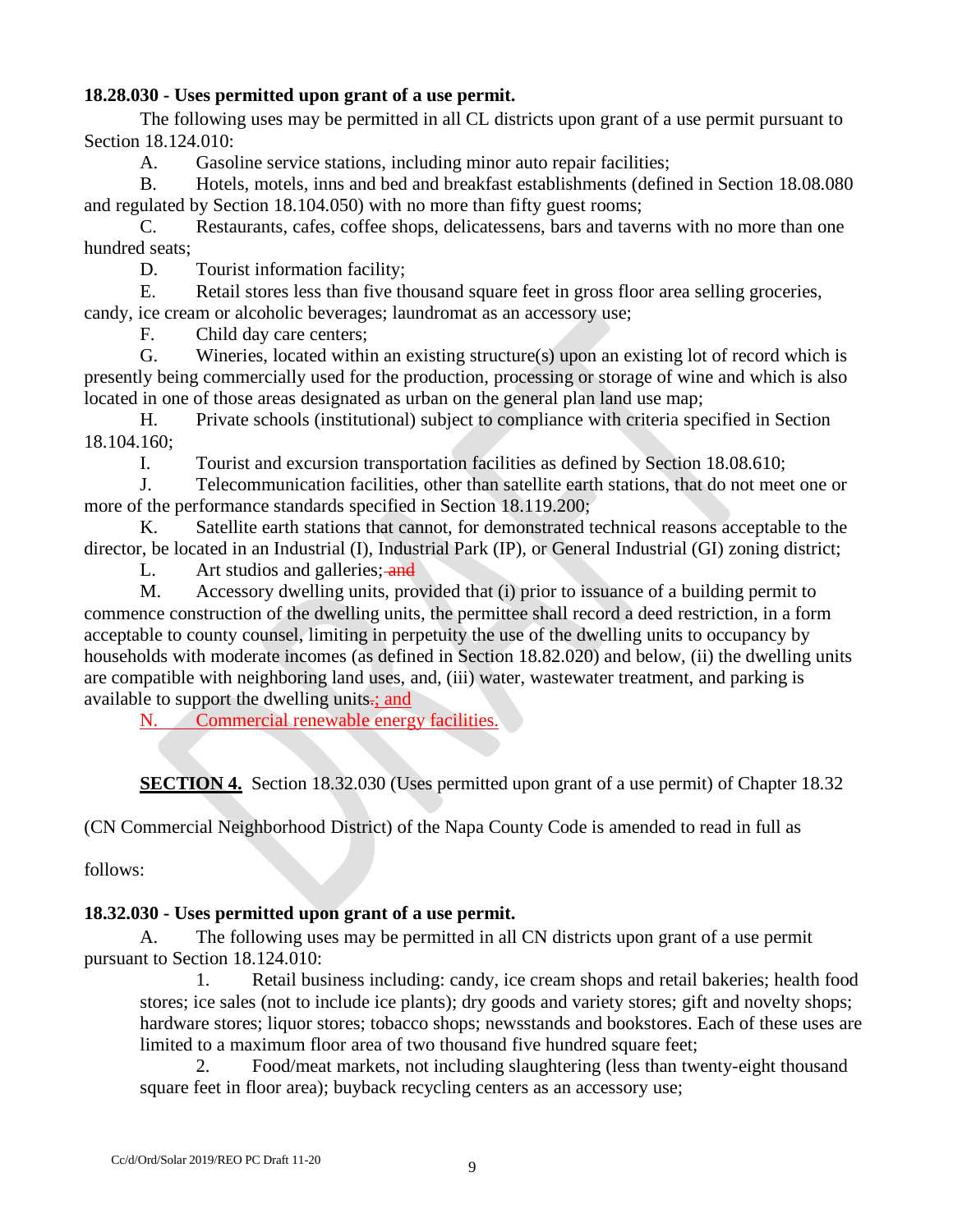## **18.28.030 - Uses permitted upon grant of a use permit.**

The following uses may be permitted in all CL districts upon grant of a use permit pursuant to Section 18.124.010:

A. Gasoline service stations, including minor auto repair facilities;

B. Hotels, motels, inns and bed and breakfast establishments (defined in Section 18.08.080 and regulated by Section 18.104.050) with no more than fifty guest rooms;

C. Restaurants, cafes, coffee shops, delicatessens, bars and taverns with no more than one hundred seats;

D. Tourist information facility;

E. Retail stores less than five thousand square feet in gross floor area selling groceries, candy, ice cream or alcoholic beverages; laundromat as an accessory use;

F. Child day care centers;

G. Wineries, located within an existing structure(s) upon an existing lot of record which is presently being commercially used for the production, processing or storage of wine and which is also located in one of those areas designated as urban on the general plan land use map;

H. Private schools (institutional) subject to compliance with criteria specified in Section 18.104.160;

I. Tourist and excursion transportation facilities as defined by Section 18.08.610;

J. Telecommunication facilities, other than satellite earth stations, that do not meet one or more of the performance standards specified in Section 18.119.200;

K. Satellite earth stations that cannot, for demonstrated technical reasons acceptable to the director, be located in an Industrial (I), Industrial Park (IP), or General Industrial (GI) zoning district;

L. Art studios and galleries; and

M. Accessory dwelling units, provided that (i) prior to issuance of a building permit to commence construction of the dwelling units, the permittee shall record a deed restriction, in a form acceptable to county counsel, limiting in perpetuity the use of the dwelling units to occupancy by households with moderate incomes (as defined in Section 18.82.020) and below, (ii) the dwelling units are compatible with neighboring land uses, and, (iii) water, wastewater treatment, and parking is available to support the dwelling units-; and

N. Commercial renewable energy facilities.

**SECTION 4.** Section 18.32.030 (Uses permitted upon grant of a use permit) of Chapter 18.32

(CN Commercial Neighborhood District) of the Napa County Code is amended to read in full as

follows:

## **18.32.030 - Uses permitted upon grant of a use permit.**

A. The following uses may be permitted in all CN districts upon grant of a use permit pursuant to Section 18.124.010:

1. Retail business including: candy, ice cream shops and retail bakeries; health food stores; ice sales (not to include ice plants); dry goods and variety stores; gift and novelty shops; hardware stores; liquor stores; tobacco shops; newsstands and bookstores. Each of these uses are limited to a maximum floor area of two thousand five hundred square feet;

2. Food/meat markets, not including slaughtering (less than twenty-eight thousand square feet in floor area); buyback recycling centers as an accessory use;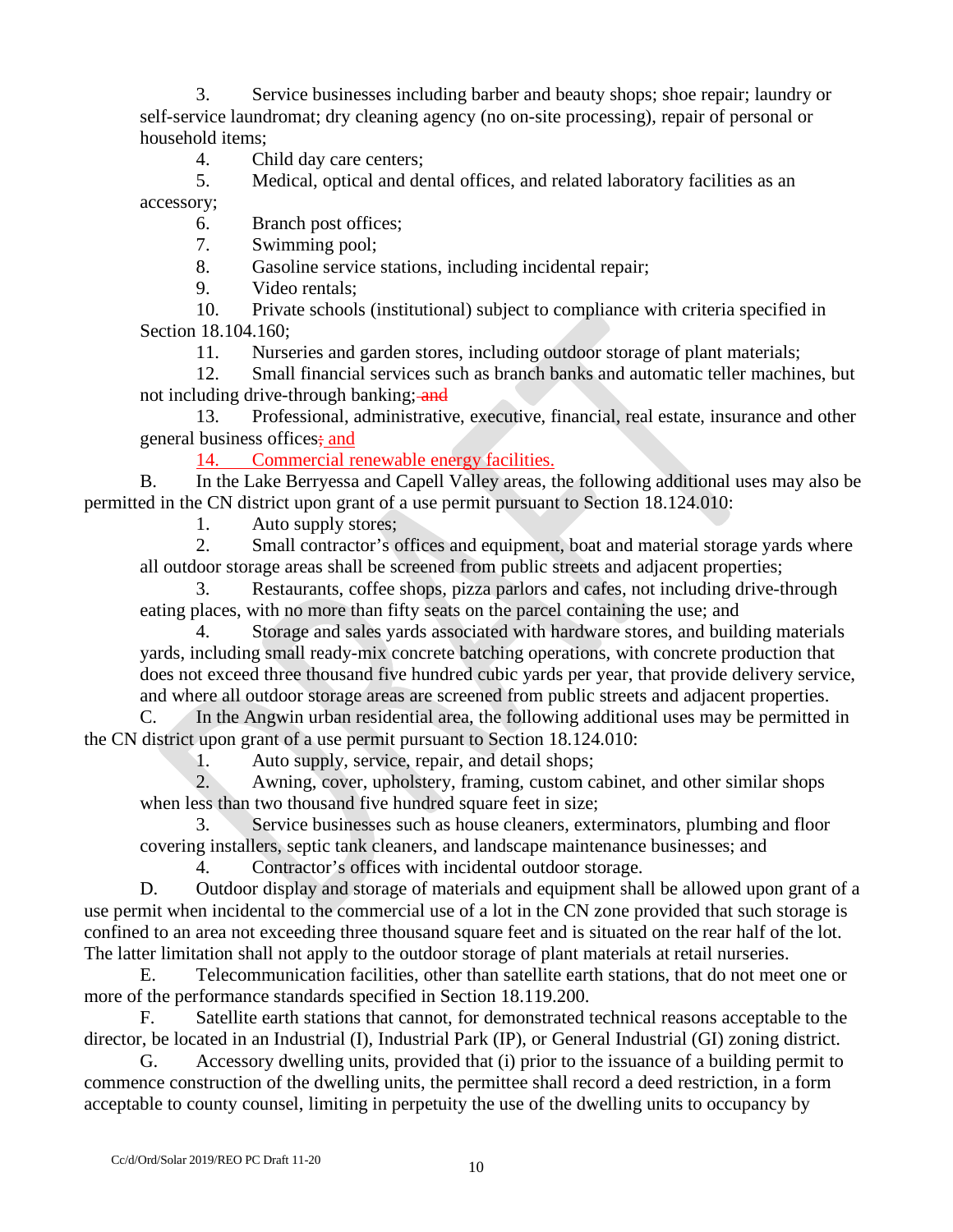3. Service businesses including barber and beauty shops; shoe repair; laundry or self-service laundromat; dry cleaning agency (no on-site processing), repair of personal or household items;

4. Child day care centers;<br>5. Medical, optical and de

Medical, optical and dental offices, and related laboratory facilities as an

accessory;

6. Branch post offices;

7. Swimming pool;

8. Gasoline service stations, including incidental repair;

9. Video rentals;

10. Private schools (institutional) subject to compliance with criteria specified in Section 18.104.160;

11. Nurseries and garden stores, including outdoor storage of plant materials;

12. Small financial services such as branch banks and automatic teller machines, but not including drive-through banking; and

13. Professional, administrative, executive, financial, real estate, insurance and other general business offices; and

14. Commercial renewable energy facilities.

B. In the Lake Berryessa and Capell Valley areas, the following additional uses may also be permitted in the CN district upon grant of a use permit pursuant to Section 18.124.010:

1. Auto supply stores;

2. Small contractor's offices and equipment, boat and material storage yards where all outdoor storage areas shall be screened from public streets and adjacent properties;

3. Restaurants, coffee shops, pizza parlors and cafes, not including drive-through eating places, with no more than fifty seats on the parcel containing the use; and

4. Storage and sales yards associated with hardware stores, and building materials yards, including small ready-mix concrete batching operations, with concrete production that does not exceed three thousand five hundred cubic yards per year, that provide delivery service, and where all outdoor storage areas are screened from public streets and adjacent properties.

C. In the Angwin urban residential area, the following additional uses may be permitted in the CN district upon grant of a use permit pursuant to Section 18.124.010:

1. Auto supply, service, repair, and detail shops;

2. Awning, cover, upholstery, framing, custom cabinet, and other similar shops when less than two thousand five hundred square feet in size;

3. Service businesses such as house cleaners, exterminators, plumbing and floor covering installers, septic tank cleaners, and landscape maintenance businesses; and

4. Contractor's offices with incidental outdoor storage.

D. Outdoor display and storage of materials and equipment shall be allowed upon grant of a use permit when incidental to the commercial use of a lot in the CN zone provided that such storage is confined to an area not exceeding three thousand square feet and is situated on the rear half of the lot. The latter limitation shall not apply to the outdoor storage of plant materials at retail nurseries.

E. Telecommunication facilities, other than satellite earth stations, that do not meet one or more of the performance standards specified in Section 18.119.200.

F. Satellite earth stations that cannot, for demonstrated technical reasons acceptable to the director, be located in an Industrial (I), Industrial Park (IP), or General Industrial (GI) zoning district.

G. Accessory dwelling units, provided that (i) prior to the issuance of a building permit to commence construction of the dwelling units, the permittee shall record a deed restriction, in a form acceptable to county counsel, limiting in perpetuity the use of the dwelling units to occupancy by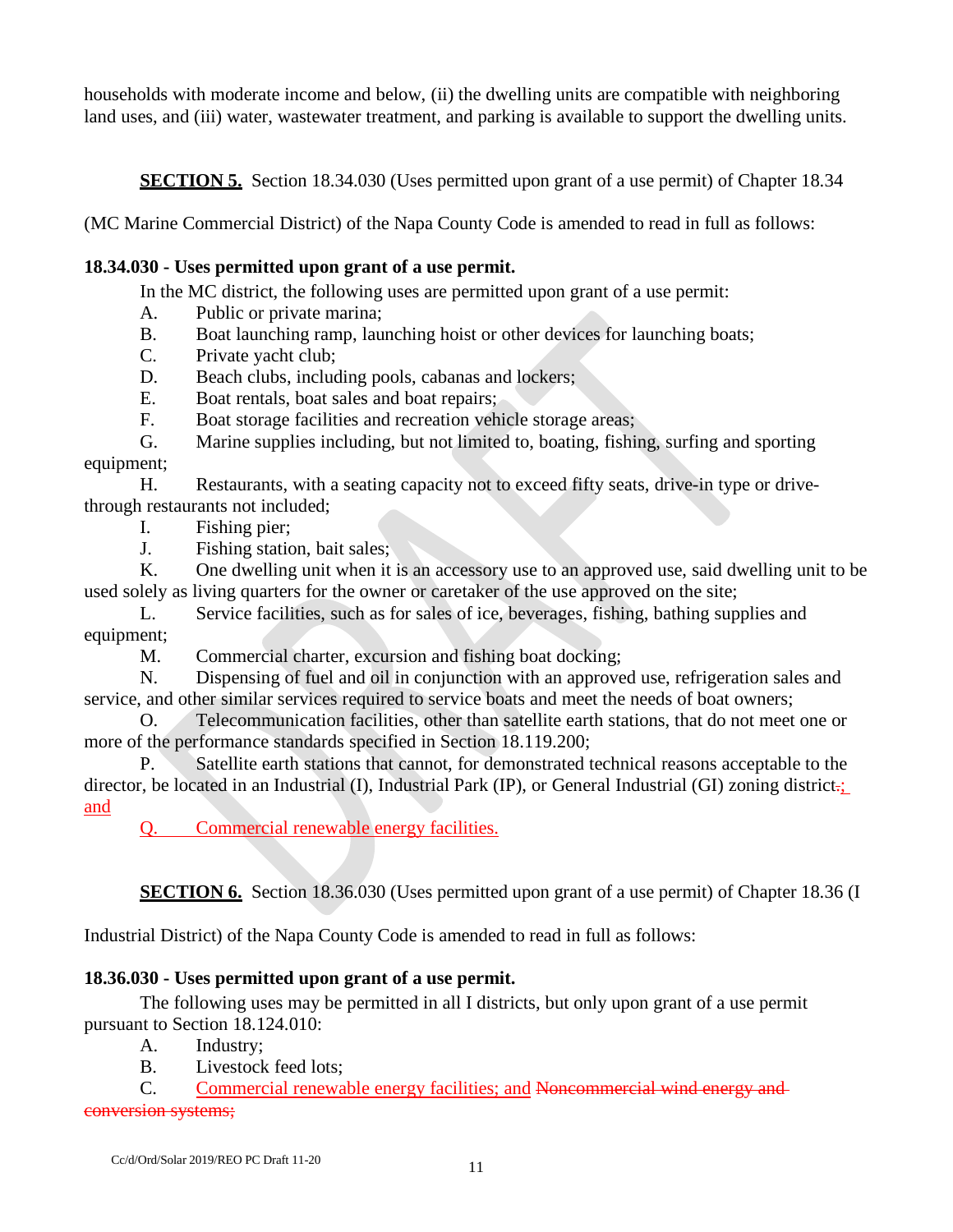households with moderate income and below, (ii) the dwelling units are compatible with neighboring land uses, and (iii) water, wastewater treatment, and parking is available to support the dwelling units.

**SECTION 5.** Section 18.34.030 (Uses permitted upon grant of a use permit) of Chapter 18.34

(MC Marine Commercial District) of the Napa County Code is amended to read in full as follows:

# **18.34.030 - Uses permitted upon grant of a use permit.**

In the MC district, the following uses are permitted upon grant of a use permit:

- A. Public or private marina;
- B. Boat launching ramp, launching hoist or other devices for launching boats;
- C. Private yacht club;
- D. Beach clubs, including pools, cabanas and lockers;
- E. Boat rentals, boat sales and boat repairs;
- F. Boat storage facilities and recreation vehicle storage areas;

G. Marine supplies including, but not limited to, boating, fishing, surfing and sporting equipment;

H. Restaurants, with a seating capacity not to exceed fifty seats, drive-in type or drivethrough restaurants not included;

- I. Fishing pier;
- J. Fishing station, bait sales;

K. One dwelling unit when it is an accessory use to an approved use, said dwelling unit to be used solely as living quarters for the owner or caretaker of the use approved on the site;

L. Service facilities, such as for sales of ice, beverages, fishing, bathing supplies and equipment;

M. Commercial charter, excursion and fishing boat docking;

N. Dispensing of fuel and oil in conjunction with an approved use, refrigeration sales and service, and other similar services required to service boats and meet the needs of boat owners;

O. Telecommunication facilities, other than satellite earth stations, that do not meet one or more of the performance standards specified in Section 18.119.200;

P. Satellite earth stations that cannot, for demonstrated technical reasons acceptable to the director, be located in an Industrial (I), Industrial Park (IP), or General Industrial (GI) zoning district. and

Q. Commercial renewable energy facilities.

**SECTION 6.** Section 18.36.030 (Uses permitted upon grant of a use permit) of Chapter 18.36 (I

Industrial District) of the Napa County Code is amended to read in full as follows:

# **18.36.030 - Uses permitted upon grant of a use permit.**

The following uses may be permitted in all I districts, but only upon grant of a use permit pursuant to Section 18.124.010:

A. Industry;

B. Livestock feed lots;

C. Commercial renewable energy facilities; and Noncommercial wind energy and conversion systems;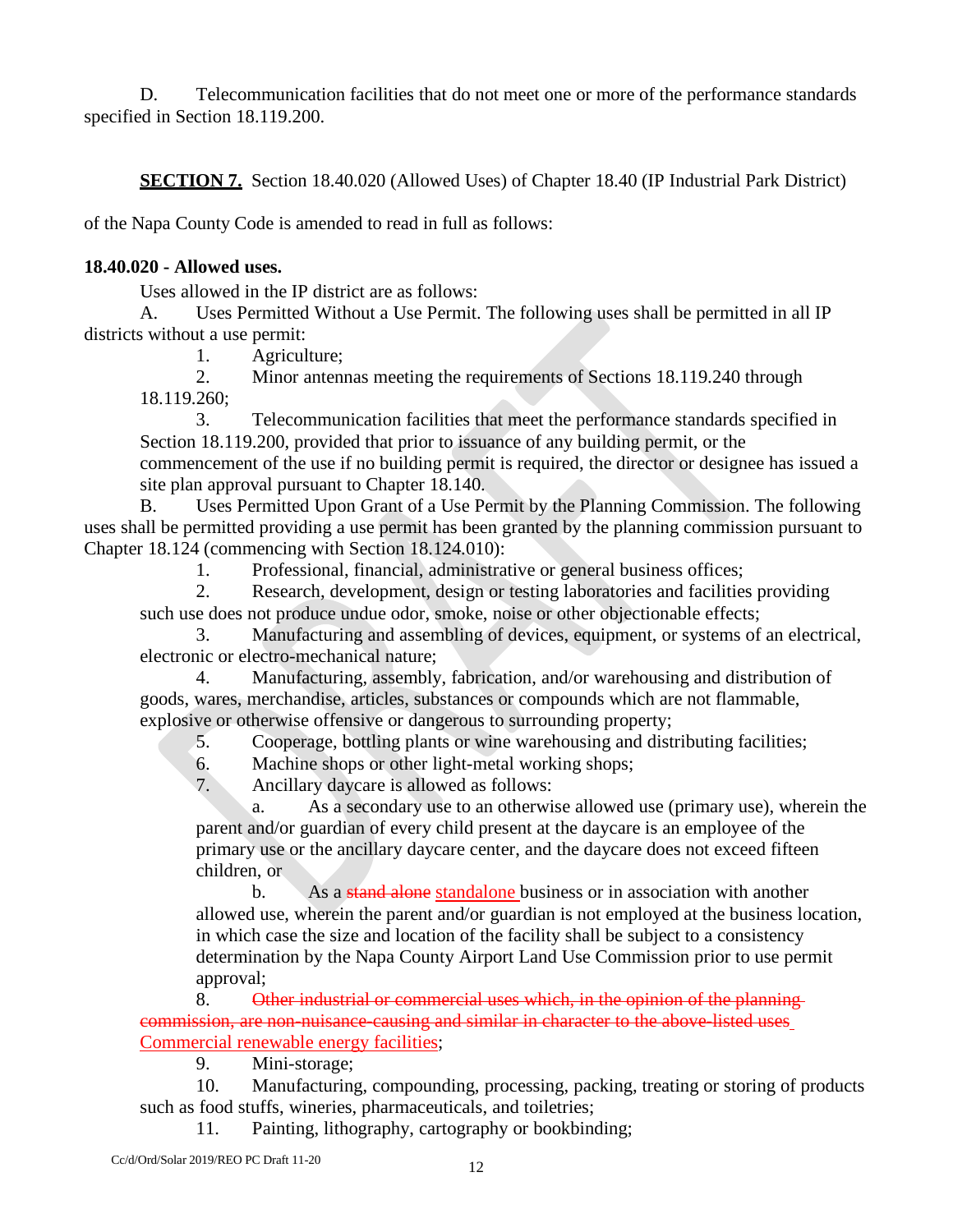D. Telecommunication facilities that do not meet one or more of the performance standards specified in Section 18.119.200.

**SECTION 7.** Section 18.40.020 (Allowed Uses) of Chapter 18.40 (IP Industrial Park District)

of the Napa County Code is amended to read in full as follows:

## **18.40.020 - Allowed uses.**

Uses allowed in the IP district are as follows:

A. Uses Permitted Without a Use Permit. The following uses shall be permitted in all IP districts without a use permit:

1. Agriculture;

2. Minor antennas meeting the requirements of Sections 18.119.240 through

18.119.260;

3. Telecommunication facilities that meet the performance standards specified in Section 18.119.200, provided that prior to issuance of any building permit, or the commencement of the use if no building permit is required, the director or designee has issued a site plan approval pursuant to Chapter 18.140.

B. Uses Permitted Upon Grant of a Use Permit by the Planning Commission. The following uses shall be permitted providing a use permit has been granted by the planning commission pursuant to Chapter 18.124 (commencing with Section 18.124.010):

1. Professional, financial, administrative or general business offices;

2. Research, development, design or testing laboratories and facilities providing

such use does not produce undue odor, smoke, noise or other objectionable effects;

3. Manufacturing and assembling of devices, equipment, or systems of an electrical, electronic or electro-mechanical nature;

4. Manufacturing, assembly, fabrication, and/or warehousing and distribution of goods, wares, merchandise, articles, substances or compounds which are not flammable, explosive or otherwise offensive or dangerous to surrounding property;

5. Cooperage, bottling plants or wine warehousing and distributing facilities;

6. Machine shops or other light-metal working shops;

7. Ancillary daycare is allowed as follows:

a. As a secondary use to an otherwise allowed use (primary use), wherein the parent and/or guardian of every child present at the daycare is an employee of the primary use or the ancillary daycare center, and the daycare does not exceed fifteen children, or

b. As a stand alone standalone business or in association with another allowed use, wherein the parent and/or guardian is not employed at the business location, in which case the size and location of the facility shall be subject to a consistency determination by the Napa County Airport Land Use Commission prior to use permit approval;

8. Other industrial or commercial uses which, in the opinion of the planning commission, are non-nuisance-causing and similar in character to the above-listed uses Commercial renewable energy facilities;

9. Mini-storage;

10. Manufacturing, compounding, processing, packing, treating or storing of products such as food stuffs, wineries, pharmaceuticals, and toiletries;

11. Painting, lithography, cartography or bookbinding;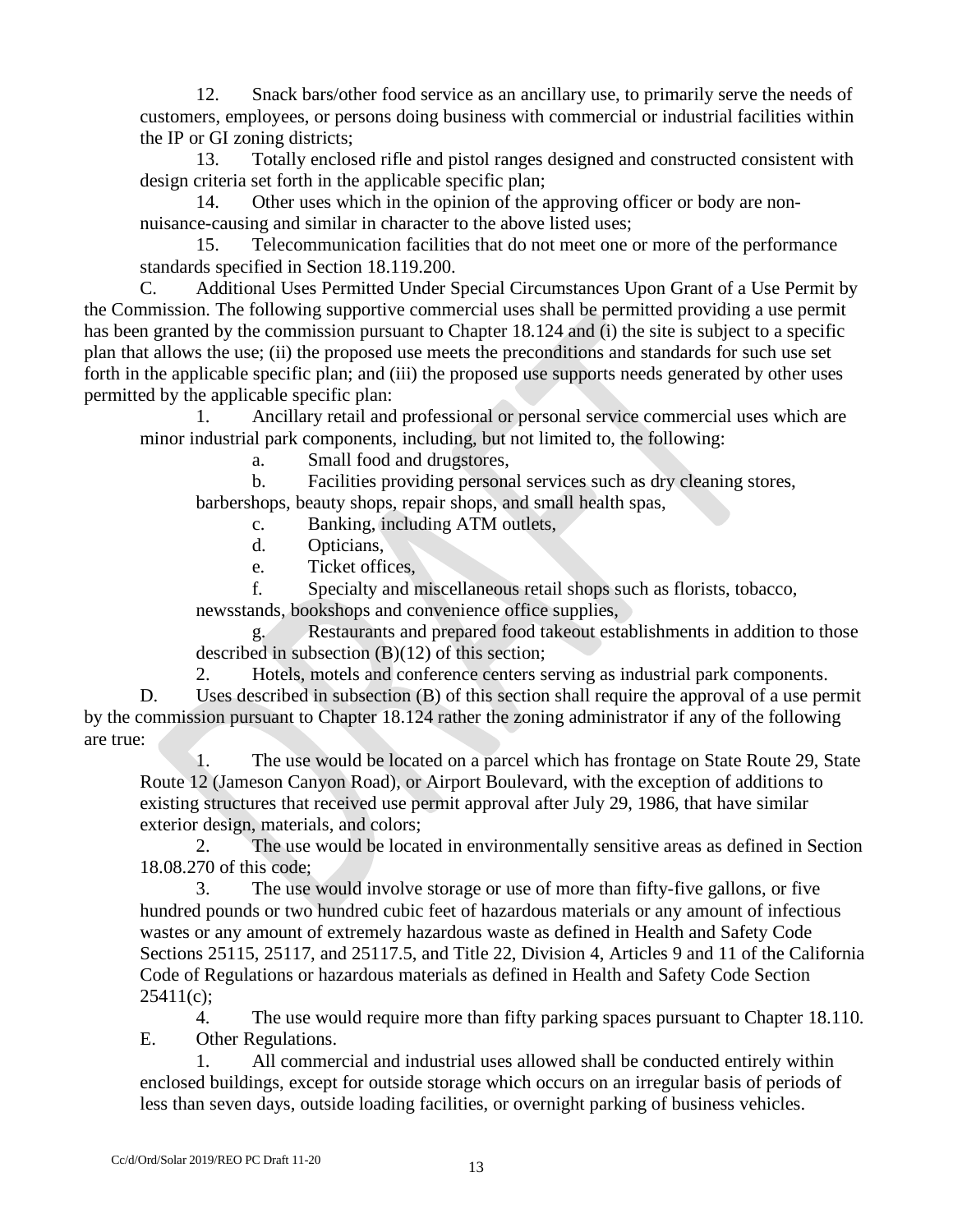12. Snack bars/other food service as an ancillary use, to primarily serve the needs of customers, employees, or persons doing business with commercial or industrial facilities within the IP or GI zoning districts;

13. Totally enclosed rifle and pistol ranges designed and constructed consistent with design criteria set forth in the applicable specific plan;

14. Other uses which in the opinion of the approving officer or body are nonnuisance-causing and similar in character to the above listed uses;

15. Telecommunication facilities that do not meet one or more of the performance standards specified in Section 18.119.200.

C. Additional Uses Permitted Under Special Circumstances Upon Grant of a Use Permit by the Commission. The following supportive commercial uses shall be permitted providing a use permit has been granted by the commission pursuant to Chapter 18.124 and (i) the site is subject to a specific plan that allows the use; (ii) the proposed use meets the preconditions and standards for such use set forth in the applicable specific plan; and (iii) the proposed use supports needs generated by other uses permitted by the applicable specific plan:

1. Ancillary retail and professional or personal service commercial uses which are minor industrial park components, including, but not limited to, the following:

a. Small food and drugstores,

b. Facilities providing personal services such as dry cleaning stores, barbershops, beauty shops, repair shops, and small health spas,

c. Banking, including ATM outlets,

- d. Opticians,
- e. Ticket offices,

f. Specialty and miscellaneous retail shops such as florists, tobacco, newsstands, bookshops and convenience office supplies,

Restaurants and prepared food takeout establishments in addition to those described in subsection (B)(12) of this section;

2. Hotels, motels and conference centers serving as industrial park components.

D. Uses described in subsection (B) of this section shall require the approval of a use permit by the commission pursuant to Chapter 18.124 rather the zoning administrator if any of the following are true:

1. The use would be located on a parcel which has frontage on State Route 29, State Route 12 (Jameson Canyon Road), or Airport Boulevard, with the exception of additions to existing structures that received use permit approval after July 29, 1986, that have similar exterior design, materials, and colors;

2. The use would be located in environmentally sensitive areas as defined in Section 18.08.270 of this code;

3. The use would involve storage or use of more than fifty-five gallons, or five hundred pounds or two hundred cubic feet of hazardous materials or any amount of infectious wastes or any amount of extremely hazardous waste as defined in Health and Safety Code Sections 25115, 25117, and 25117.5, and Title 22, Division 4, Articles 9 and 11 of the California Code of Regulations or hazardous materials as defined in Health and Safety Code Section  $25411(c)$ ;

4. The use would require more than fifty parking spaces pursuant to Chapter 18.110. E. Other Regulations.

1. All commercial and industrial uses allowed shall be conducted entirely within enclosed buildings, except for outside storage which occurs on an irregular basis of periods of less than seven days, outside loading facilities, or overnight parking of business vehicles.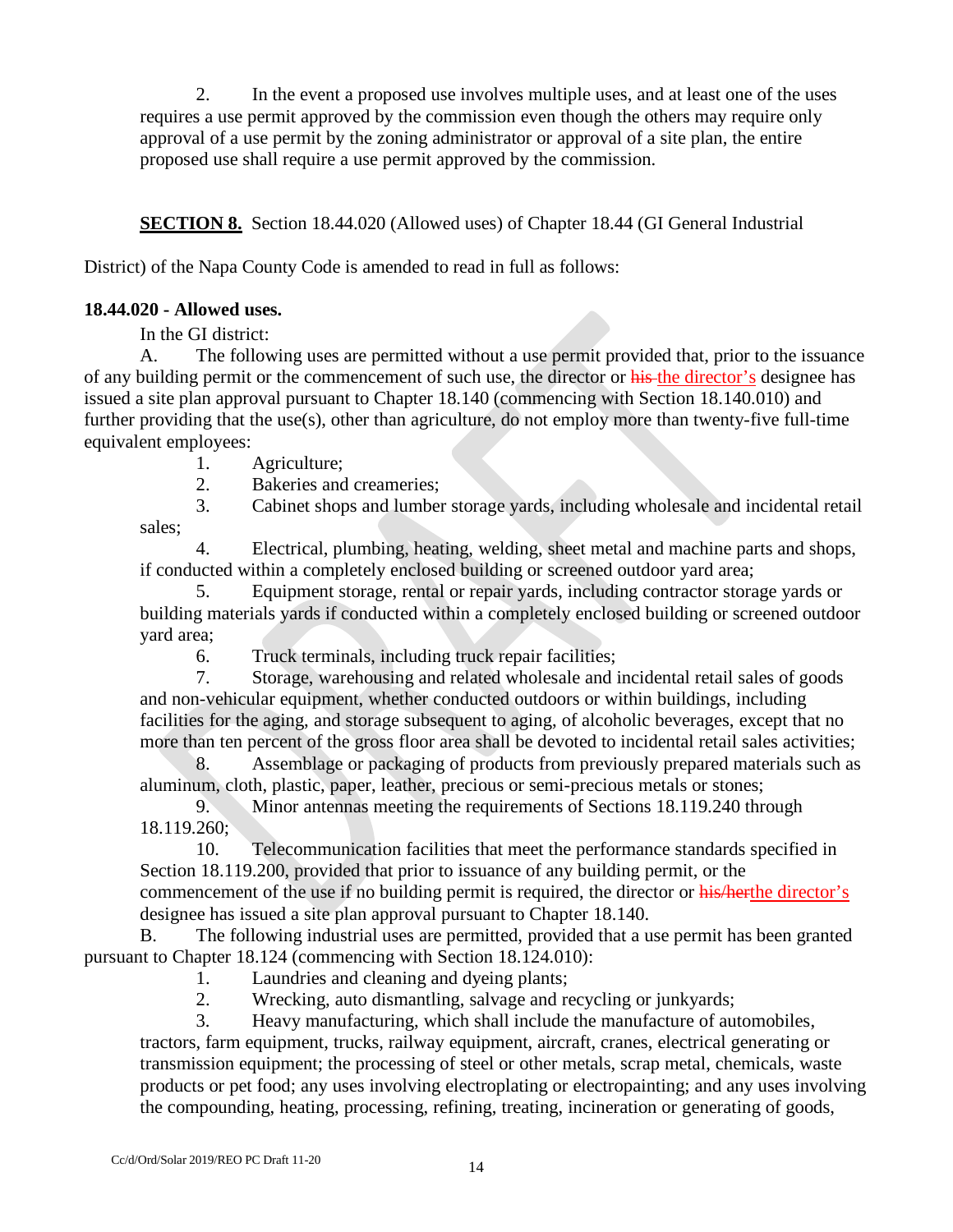2. In the event a proposed use involves multiple uses, and at least one of the uses requires a use permit approved by the commission even though the others may require only approval of a use permit by the zoning administrator or approval of a site plan, the entire proposed use shall require a use permit approved by the commission.

**SECTION 8.** Section 18.44.020 (Allowed uses) of Chapter 18.44 (GI General Industrial

District) of the Napa County Code is amended to read in full as follows:

# **18.44.020 - Allowed uses.**

In the GI district:

A. The following uses are permitted without a use permit provided that, prior to the issuance of any building permit or the commencement of such use, the director or his the director's designee has issued a site plan approval pursuant to Chapter 18.140 (commencing with Section 18.140.010) and further providing that the use(s), other than agriculture, do not employ more than twenty-five full-time equivalent employees:

- 1. Agriculture;
- 2. Bakeries and creameries;
- 3. Cabinet shops and lumber storage yards, including wholesale and incidental retail

sales;

4. Electrical, plumbing, heating, welding, sheet metal and machine parts and shops, if conducted within a completely enclosed building or screened outdoor yard area;

5. Equipment storage, rental or repair yards, including contractor storage yards or building materials yards if conducted within a completely enclosed building or screened outdoor yard area;

6. Truck terminals, including truck repair facilities;

7. Storage, warehousing and related wholesale and incidental retail sales of goods and non-vehicular equipment, whether conducted outdoors or within buildings, including facilities for the aging, and storage subsequent to aging, of alcoholic beverages, except that no more than ten percent of the gross floor area shall be devoted to incidental retail sales activities;

8. Assemblage or packaging of products from previously prepared materials such as aluminum, cloth, plastic, paper, leather, precious or semi-precious metals or stones;

9. Minor antennas meeting the requirements of Sections 18.119.240 through 18.119.260;

10. Telecommunication facilities that meet the performance standards specified in Section 18.119.200, provided that prior to issuance of any building permit, or the commencement of the use if no building permit is required, the director or his/herthe director's designee has issued a site plan approval pursuant to Chapter 18.140.

B. The following industrial uses are permitted, provided that a use permit has been granted pursuant to Chapter 18.124 (commencing with Section 18.124.010):

- 1. Laundries and cleaning and dyeing plants;
- 2. Wrecking, auto dismantling, salvage and recycling or junkyards;

3. Heavy manufacturing, which shall include the manufacture of automobiles, tractors, farm equipment, trucks, railway equipment, aircraft, cranes, electrical generating or transmission equipment; the processing of steel or other metals, scrap metal, chemicals, waste products or pet food; any uses involving electroplating or electropainting; and any uses involving the compounding, heating, processing, refining, treating, incineration or generating of goods,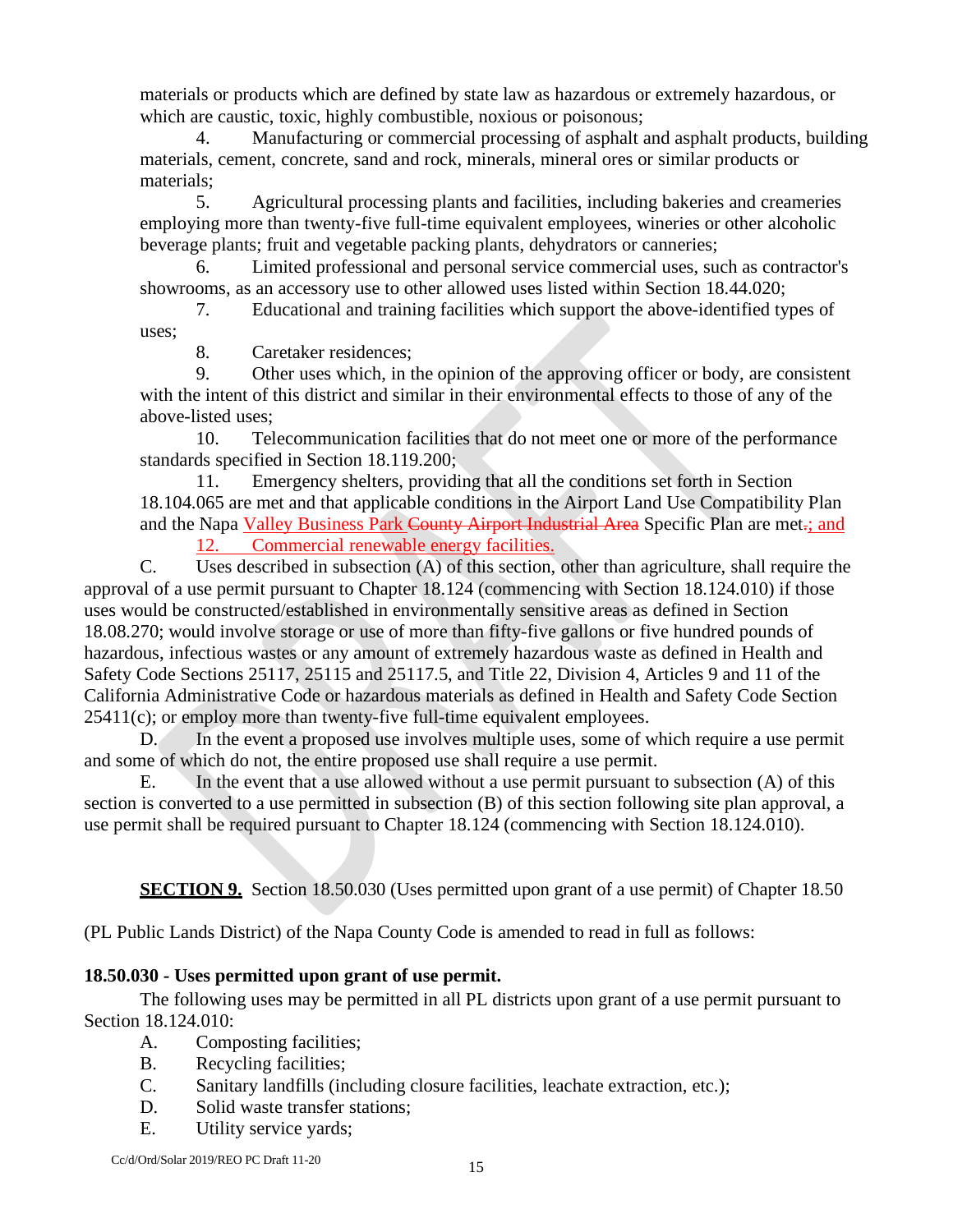materials or products which are defined by state law as hazardous or extremely hazardous, or which are caustic, toxic, highly combustible, noxious or poisonous;

4. Manufacturing or commercial processing of asphalt and asphalt products, building materials, cement, concrete, sand and rock, minerals, mineral ores or similar products or materials;

5. Agricultural processing plants and facilities, including bakeries and creameries employing more than twenty-five full-time equivalent employees, wineries or other alcoholic beverage plants; fruit and vegetable packing plants, dehydrators or canneries;

6. Limited professional and personal service commercial uses, such as contractor's showrooms, as an accessory use to other allowed uses listed within Section 18.44.020;

7. Educational and training facilities which support the above-identified types of uses;

8. Caretaker residences;

9. Other uses which, in the opinion of the approving officer or body, are consistent with the intent of this district and similar in their environmental effects to those of any of the above-listed uses;

10. Telecommunication facilities that do not meet one or more of the performance standards specified in Section 18.119.200;

11. Emergency shelters, providing that all the conditions set forth in Section 18.104.065 are met and that applicable conditions in the Airport Land Use Compatibility Plan and the Napa Valley Business Park County Airport Industrial Area Specific Plan are met.; and 12. Commercial renewable energy facilities.

C. Uses described in subsection (A) of this section, other than agriculture, shall require the approval of a use permit pursuant to Chapter 18.124 (commencing with Section 18.124.010) if those uses would be constructed/established in environmentally sensitive areas as defined in Section 18.08.270; would involve storage or use of more than fifty-five gallons or five hundred pounds of hazardous, infectious wastes or any amount of extremely hazardous waste as defined in Health and Safety Code Sections 25117, 25115 and 25117.5, and Title 22, Division 4, Articles 9 and 11 of the California Administrative Code or hazardous materials as defined in Health and Safety Code Section  $25411(c)$ ; or employ more than twenty-five full-time equivalent employees.

D. In the event a proposed use involves multiple uses, some of which require a use permit and some of which do not, the entire proposed use shall require a use permit.

E. In the event that a use allowed without a use permit pursuant to subsection (A) of this section is converted to a use permitted in subsection (B) of this section following site plan approval, a use permit shall be required pursuant to Chapter 18.124 (commencing with Section 18.124.010).

**SECTION 9.** Section 18.50.030 (Uses permitted upon grant of a use permit) of Chapter 18.50

(PL Public Lands District) of the Napa County Code is amended to read in full as follows:

# **18.50.030 - Uses permitted upon grant of use permit.**

The following uses may be permitted in all PL districts upon grant of a use permit pursuant to Section 18.124.010:

- A. Composting facilities;
- B. Recycling facilities;
- C. Sanitary landfills (including closure facilities, leachate extraction, etc.);
- D. Solid waste transfer stations;
- E. Utility service yards;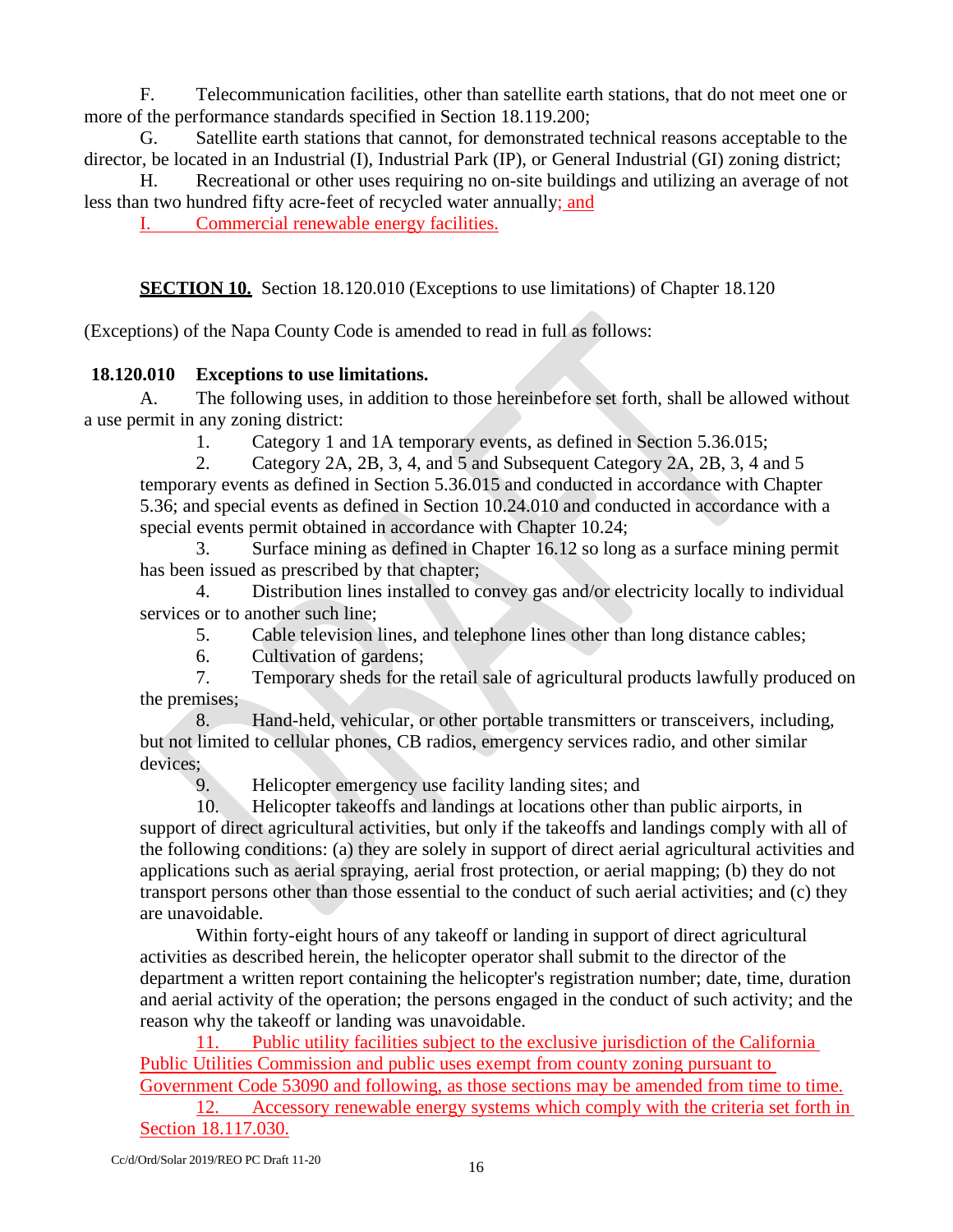F. Telecommunication facilities, other than satellite earth stations, that do not meet one or more of the performance standards specified in Section 18.119.200;

G. Satellite earth stations that cannot, for demonstrated technical reasons acceptable to the director, be located in an Industrial (I), Industrial Park (IP), or General Industrial (GI) zoning district;

H. Recreational or other uses requiring no on-site buildings and utilizing an average of not less than two hundred fifty acre-feet of recycled water annually; and

I. Commercial renewable energy facilities.

**SECTION 10.** Section 18.120.010 (Exceptions to use limitations) of Chapter 18.120

(Exceptions) of the Napa County Code is amended to read in full as follows:

# **18.120.010 Exceptions to use limitations.**

A. The following uses, in addition to those hereinbefore set forth, shall be allowed without a use permit in any zoning district:

1. Category 1 and 1A temporary events, as defined in Section 5.36.015;

2. Category 2A, 2B, 3, 4, and 5 and Subsequent Category 2A, 2B, 3, 4 and 5 temporary events as defined in Section 5.36.015 and conducted in accordance with Chapter 5.36; and special events as defined in Section 10.24.010 and conducted in accordance with a special events permit obtained in accordance with Chapter 10.24;

3. Surface mining as defined in Chapter 16.12 so long as a surface mining permit has been issued as prescribed by that chapter;

4. Distribution lines installed to convey gas and/or electricity locally to individual services or to another such line;

5. Cable television lines, and telephone lines other than long distance cables;

6. Cultivation of gardens;

7. Temporary sheds for the retail sale of agricultural products lawfully produced on the premises;

8. Hand-held, vehicular, or other portable transmitters or transceivers, including, but not limited to cellular phones, CB radios, emergency services radio, and other similar devices;

9. Helicopter emergency use facility landing sites; and 10. Helicopter takeoffs and landings at locations other the

10. Helicopter takeoffs and landings at locations other than public airports, in support of direct agricultural activities, but only if the takeoffs and landings comply with all of the following conditions: (a) they are solely in support of direct aerial agricultural activities and applications such as aerial spraying, aerial frost protection, or aerial mapping; (b) they do not transport persons other than those essential to the conduct of such aerial activities; and (c) they are unavoidable.

Within forty-eight hours of any takeoff or landing in support of direct agricultural activities as described herein, the helicopter operator shall submit to the director of the department a written report containing the helicopter's registration number; date, time, duration and aerial activity of the operation; the persons engaged in the conduct of such activity; and the reason why the takeoff or landing was unavoidable.

11. Public utility facilities subject to the exclusive jurisdiction of the California Public Utilities Commission and public uses exempt from county zoning pursuant to Government Code 53090 and following, as those sections may be amended from time to time.

12. Accessory renewable energy systems which comply with the criteria set forth in Section 18.117.030.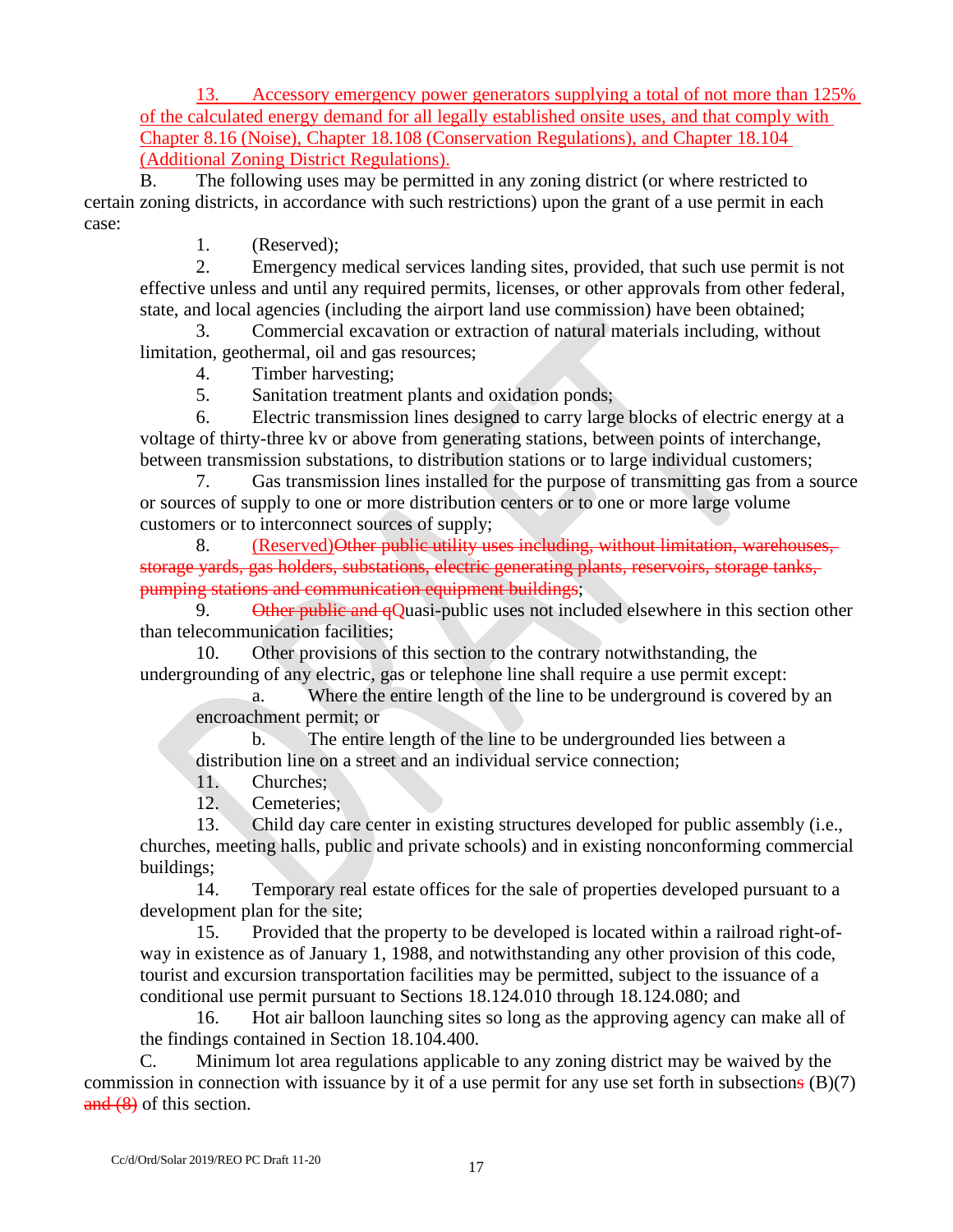13. Accessory emergency power generators supplying a total of not more than 125% of the calculated energy demand for all legally established onsite uses, and that comply with Chapter 8.16 (Noise), Chapter 18.108 (Conservation Regulations), and Chapter 18.104 (Additional Zoning District Regulations).

B. The following uses may be permitted in any zoning district (or where restricted to certain zoning districts, in accordance with such restrictions) upon the grant of a use permit in each case:

1. (Reserved);

2. Emergency medical services landing sites, provided, that such use permit is not effective unless and until any required permits, licenses, or other approvals from other federal, state, and local agencies (including the airport land use commission) have been obtained;

3. Commercial excavation or extraction of natural materials including, without limitation, geothermal, oil and gas resources;

4. Timber harvesting;

5. Sanitation treatment plants and oxidation ponds;

6. Electric transmission lines designed to carry large blocks of electric energy at a voltage of thirty-three kv or above from generating stations, between points of interchange, between transmission substations, to distribution stations or to large individual customers;

7. Gas transmission lines installed for the purpose of transmitting gas from a source or sources of supply to one or more distribution centers or to one or more large volume customers or to interconnect sources of supply;

8. (Reserved)Other public utility uses including, without limitation, warehouses, storage yards, gas holders, substations, electric generating plants, reservoirs, storage tanks, pumping stations and communication equipment buildings;

9. Other public and qQuasi-public uses not included elsewhere in this section other than telecommunication facilities;

10. Other provisions of this section to the contrary notwithstanding, the undergrounding of any electric, gas or telephone line shall require a use permit except:

a. Where the entire length of the line to be underground is covered by an encroachment permit; or

b. The entire length of the line to be undergrounded lies between a distribution line on a street and an individual service connection;

11. Churches;

12. Cemeteries;

13. Child day care center in existing structures developed for public assembly (i.e., churches, meeting halls, public and private schools) and in existing nonconforming commercial buildings;

14. Temporary real estate offices for the sale of properties developed pursuant to a development plan for the site;

15. Provided that the property to be developed is located within a railroad right-ofway in existence as of January 1, 1988, and notwithstanding any other provision of this code, tourist and excursion transportation facilities may be permitted, subject to the issuance of a conditional use permit pursuant to Sections 18.124.010 through 18.124.080; and

16. Hot air balloon launching sites so long as the approving agency can make all of the findings contained in Section 18.104.400.

C. Minimum lot area regulations applicable to any zoning district may be waived by the commission in connection with issuance by it of a use permit for any use set forth in subsections (B)(7) and  $(8)$  of this section.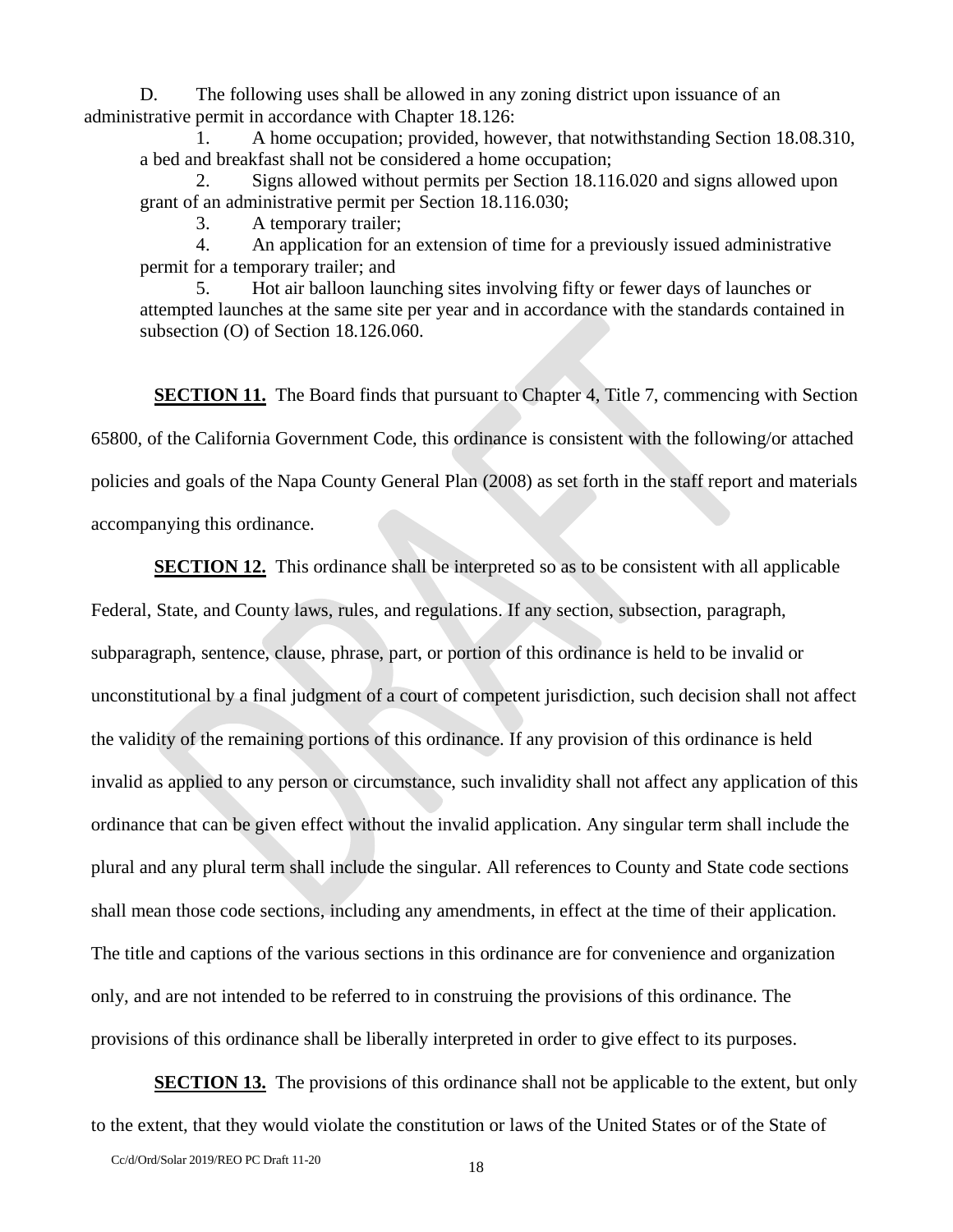D. The following uses shall be allowed in any zoning district upon issuance of an administrative permit in accordance with Chapter 18.126:

1. A home occupation; provided, however, that notwithstanding Section 18.08.310, a bed and breakfast shall not be considered a home occupation;

2. Signs allowed without permits per Section 18.116.020 and signs allowed upon grant of an administrative permit per Section 18.116.030;

3. A temporary trailer;

4. An application for an extension of time for a previously issued administrative permit for a temporary trailer; and

5. Hot air balloon launching sites involving fifty or fewer days of launches or attempted launches at the same site per year and in accordance with the standards contained in subsection (O) of Section 18.126.060.

**SECTION 11.** The Board finds that pursuant to Chapter 4, Title 7, commencing with Section 65800, of the California Government Code, this ordinance is consistent with the following/or attached policies and goals of the Napa County General Plan (2008) as set forth in the staff report and materials accompanying this ordinance.

**SECTION 12.** This ordinance shall be interpreted so as to be consistent with all applicable Federal, State, and County laws, rules, and regulations. If any section, subsection, paragraph, subparagraph, sentence, clause, phrase, part, or portion of this ordinance is held to be invalid or unconstitutional by a final judgment of a court of competent jurisdiction, such decision shall not affect the validity of the remaining portions of this ordinance. If any provision of this ordinance is held invalid as applied to any person or circumstance, such invalidity shall not affect any application of this ordinance that can be given effect without the invalid application. Any singular term shall include the plural and any plural term shall include the singular. All references to County and State code sections shall mean those code sections, including any amendments, in effect at the time of their application. The title and captions of the various sections in this ordinance are for convenience and organization only, and are not intended to be referred to in construing the provisions of this ordinance. The provisions of this ordinance shall be liberally interpreted in order to give effect to its purposes.

**SECTION 13.** The provisions of this ordinance shall not be applicable to the extent, but only to the extent, that they would violate the constitution or laws of the United States or of the State of

Cc/d/Ord/Solar 2019/REO PC Draft 11-20 18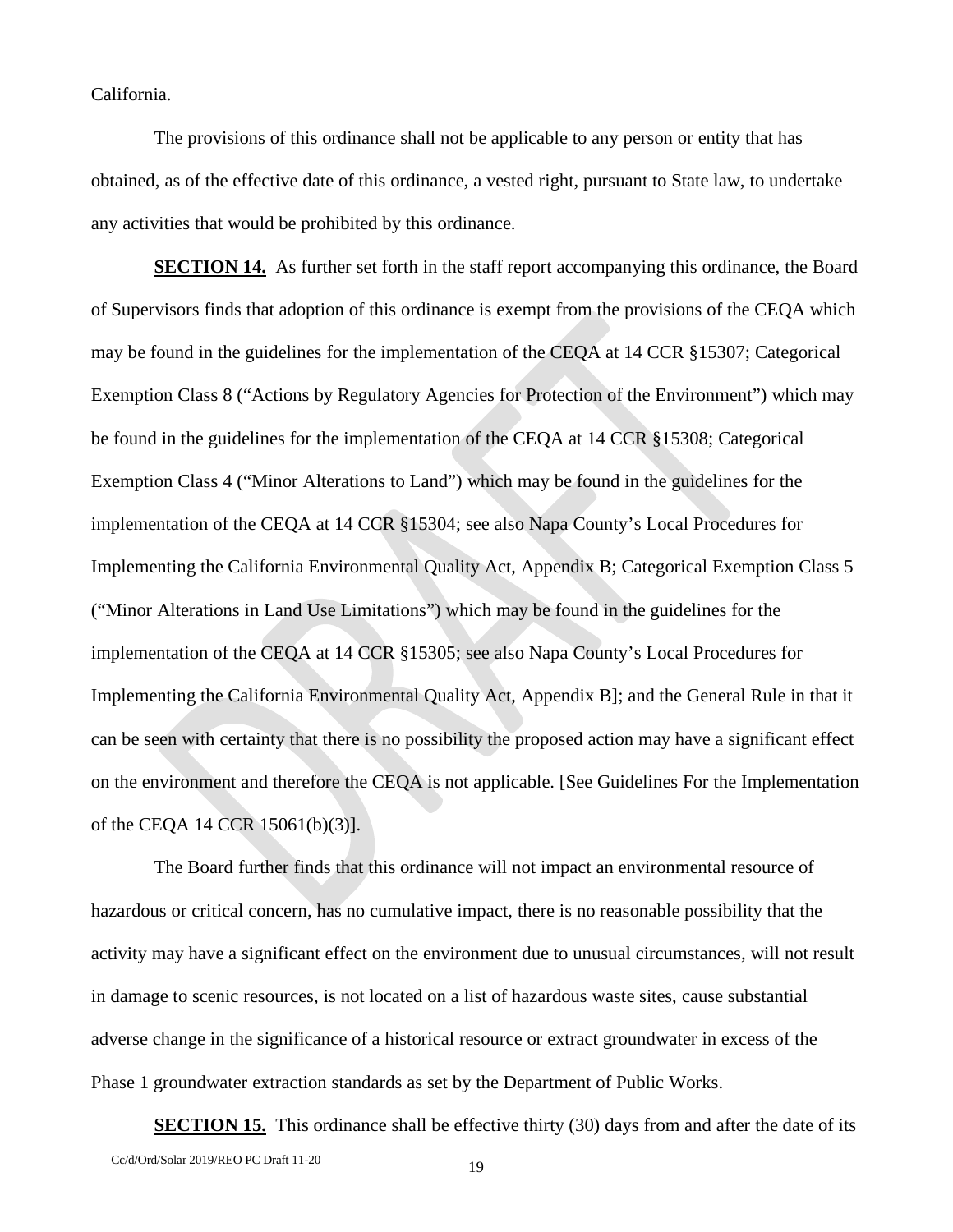California.

The provisions of this ordinance shall not be applicable to any person or entity that has obtained, as of the effective date of this ordinance, a vested right, pursuant to State law, to undertake any activities that would be prohibited by this ordinance.

**SECTION 14.** As further set forth in the staff report accompanying this ordinance, the Board of Supervisors finds that adoption of this ordinance is exempt from the provisions of the CEQA which may be found in the guidelines for the implementation of the CEQA at 14 CCR §15307; Categorical Exemption Class 8 ("Actions by Regulatory Agencies for Protection of the Environment") which may be found in the guidelines for the implementation of the CEQA at 14 CCR §15308; Categorical Exemption Class 4 ("Minor Alterations to Land") which may be found in the guidelines for the implementation of the CEQA at 14 CCR §15304; see also Napa County's Local Procedures for Implementing the California Environmental Quality Act, Appendix B; Categorical Exemption Class 5 ("Minor Alterations in Land Use Limitations") which may be found in the guidelines for the implementation of the CEQA at 14 CCR §15305; see also Napa County's Local Procedures for Implementing the California Environmental Quality Act, Appendix B]; and the General Rule in that it can be seen with certainty that there is no possibility the proposed action may have a significant effect on the environment and therefore the CEQA is not applicable. [See Guidelines For the Implementation of the CEQA 14 CCR 15061(b)(3)].

The Board further finds that this ordinance will not impact an environmental resource of hazardous or critical concern, has no cumulative impact, there is no reasonable possibility that the activity may have a significant effect on the environment due to unusual circumstances, will not result in damage to scenic resources, is not located on a list of hazardous waste sites, cause substantial adverse change in the significance of a historical resource or extract groundwater in excess of the Phase 1 groundwater extraction standards as set by the Department of Public Works.

Cc/d/Ord/Solar 2019/REO PC Draft 11-20 19 **SECTION 15.** This ordinance shall be effective thirty (30) days from and after the date of its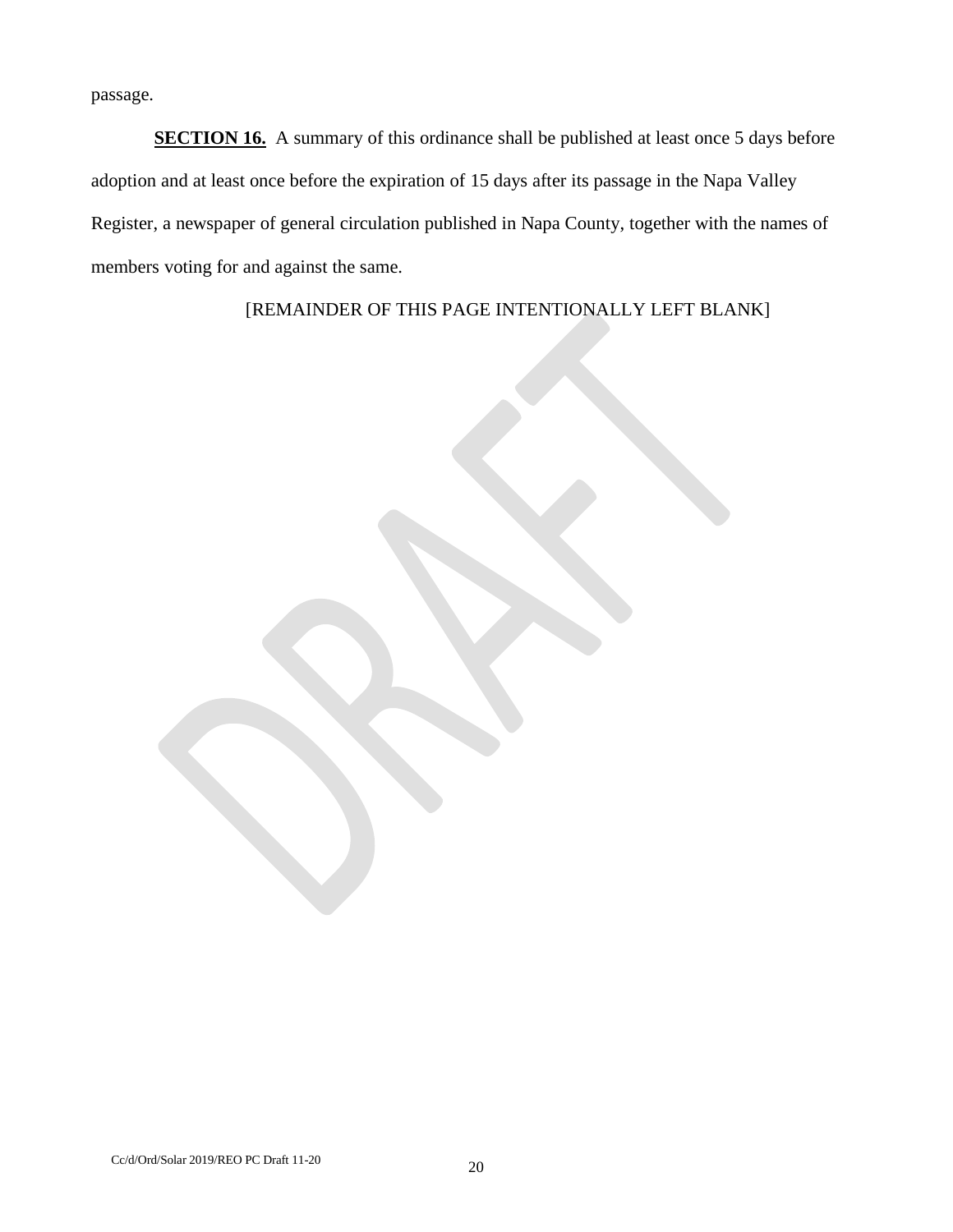passage.

**SECTION 16.** A summary of this ordinance shall be published at least once 5 days before adoption and at least once before the expiration of 15 days after its passage in the Napa Valley Register, a newspaper of general circulation published in Napa County, together with the names of members voting for and against the same.

[REMAINDER OF THIS PAGE INTENTIONALLY LEFT BLANK]